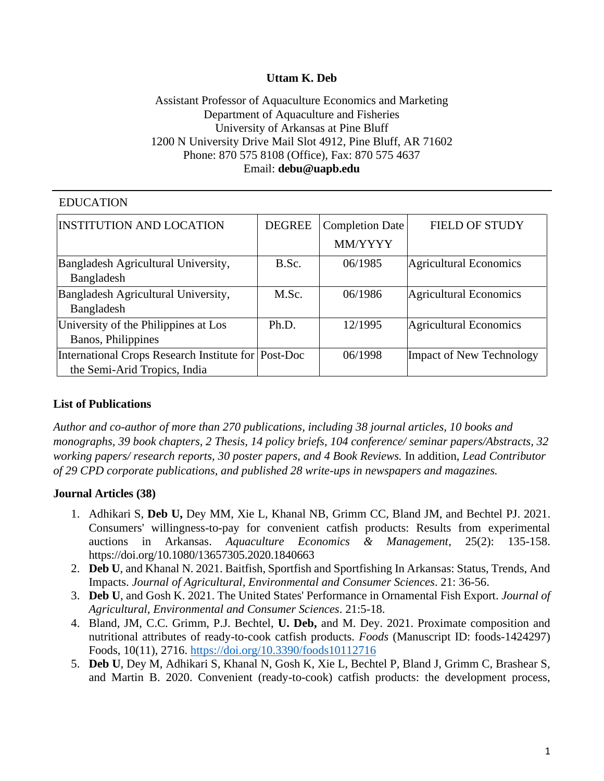## **Uttam K. Deb**

## Assistant Professor of Aquaculture Economics and Marketing Department of Aquaculture and Fisheries University of Arkansas at Pine Bluff 1200 N University Drive Mail Slot 4912, Pine Bluff, AR 71602 Phone: 870 575 8108 (Office), Fax: 870 575 4637 Email: **[debu@uapb.edu](mailto:debu@uapb.edu)**

# EDUCATION

| <b>INSTITUTION AND LOCATION</b>                     | <b>DEGREE</b> | <b>Completion Date</b> | <b>FIELD OF STUDY</b>           |
|-----------------------------------------------------|---------------|------------------------|---------------------------------|
|                                                     |               | MM/YYYY                |                                 |
| Bangladesh Agricultural University,                 | B.Sc.         | 06/1985                | Agricultural Economics          |
| Bangladesh                                          |               |                        |                                 |
| Bangladesh Agricultural University,                 | M.Sc.         | 06/1986                | <b>Agricultural Economics</b>   |
| Bangladesh                                          |               |                        |                                 |
| University of the Philippines at Los                | Ph.D.         | 12/1995                | <b>Agricultural Economics</b>   |
| Banos, Philippines                                  |               |                        |                                 |
| International Crops Research Institute for Post-Doc |               | 06/1998                | <b>Impact of New Technology</b> |
| the Semi-Arid Tropics, India                        |               |                        |                                 |

# **List of Publications**

*Author and co-author of more than 270 publications, including 38 journal articles, 10 books and monographs, 39 book chapters, 2 Thesis, 14 policy briefs, 104 conference/ seminar papers/Abstracts, 32 working papers/ research reports, 30 poster papers, and 4 Book Reviews.* In addition, *Lead Contributor of 29 CPD corporate publications, and published 28 write-ups in newspapers and magazines.*

### **Journal Articles (38)**

- 1. Adhikari S, **Deb U,** Dey MM, Xie L, Khanal NB, Grimm CC, Bland JM, and Bechtel PJ. 2021. Consumers' willingness-to-pay for convenient catfish products: Results from experimental auctions in Arkansas. *Aquaculture Economics & Management*, 25(2): 135-158. <https://doi.org/10.1080/13657305.2020.1840663>
- 2. **Deb U**, and Khanal N. 2021. Baitfish, Sportfish and Sportfishing In Arkansas: Status, Trends, And Impacts. *Journal of Agricultural, Environmental and Consumer Sciences*. 21: 36-56.
- 3. **Deb U**, and Gosh K. 2021. The United States' Performance in Ornamental Fish Export. *Journal of Agricultural, Environmental and Consumer Sciences*. 21:5-18.
- 4. Bland, JM, C.C. Grimm, P.J. Bechtel, **U. Deb,** and M. Dey. 2021. Proximate composition and nutritional attributes of ready-to-cook catfish products. *Foods* (Manuscript ID: foods-1424297) Foods, 10(11), 2716.<https://doi.org/10.3390/foods10112716>
- 5. **Deb U**, Dey M, Adhikari S, Khanal N, Gosh K, Xie L, Bechtel P, Bland J, Grimm C, Brashear S, and Martin B. 2020. Convenient (ready-to-cook) catfish products: the development process,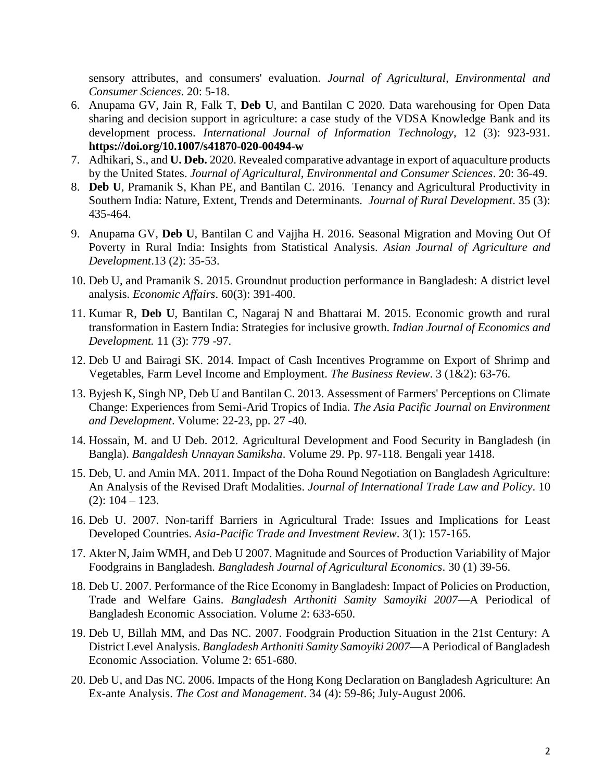sensory attributes, and consumers' evaluation. *Journal of Agricultural, Environmental and Consumer Sciences*. 20: 5-18.

- 6. Anupama GV, Jain R, Falk T, **Deb U**, and Bantilan C 2020. Data warehousing for Open Data sharing and decision support in agriculture: a case study of the VDSA Knowledge Bank and its development process. *International Journal of Information Technology*, 12 (3): 923-931. **<https://doi.org/10.1007/s41870-020-00494-w>**
- 7. Adhikari, S., and **U. Deb.** 2020. Revealed comparative advantage in export of aquaculture products by the United States. *Journal of Agricultural, Environmental and Consumer Sciences*. 20: 36-49.
- 8. **Deb U**, Pramanik S, Khan PE, and Bantilan C. 2016. Tenancy and Agricultural Productivity in Southern India: Nature, Extent, Trends and Determinants. *Journal of Rural Development*. 35 (3): 435-464.
- 9. Anupama GV, **Deb U**, Bantilan C and Vajjha H. 2016. Seasonal Migration and Moving Out Of Poverty in Rural India: Insights from Statistical Analysis. *Asian Journal of Agriculture and Development*.13 (2): 35-53.
- 10. Deb U, and Pramanik S. 2015. Groundnut production performance in Bangladesh: A district level analysis. *Economic Affairs*. 60(3): 391-400.
- 11. Kumar R, **Deb U**, Bantilan C, Nagaraj N and Bhattarai M. 2015. Economic growth and rural transformation in Eastern India: Strategies for inclusive growth. *Indian Journal of Economics and Development.* 11 (3): 779 -97.
- 12. Deb U and Bairagi SK. 2014. Impact of Cash Incentives Programme on Export of Shrimp and Vegetables, Farm Level Income and Employment. *The Business Review*. 3 (1&2): 63-76.
- 13. Byjesh K, Singh NP, Deb U and Bantilan C. 2013. Assessment of Farmers' Perceptions on Climate Change: Experiences from Semi-Arid Tropics of India. *The Asia Pacific Journal on Environment and Development*. Volume: 22-23, pp. 27 -40.
- 14. Hossain, M. and U Deb. 2012. Agricultural Development and Food Security in Bangladesh (in Bangla). *Bangaldesh Unnayan Samiksha*. Volume 29. Pp. 97-118. Bengali year 1418.
- 15. Deb, U. and Amin MA. 2011. Impact of the Doha Round Negotiation on Bangladesh Agriculture: An Analysis of the Revised Draft Modalities. *Journal of International Trade Law and Policy*. 10  $(2): 104 - 123.$
- 16. Deb U. 2007. Non-tariff Barriers in Agricultural Trade: Issues and Implications for Least Developed Countries. *Asia-Pacific Trade and Investment Review*. 3(1): 157-165.
- 17. Akter N, Jaim WMH, and Deb U 2007. Magnitude and Sources of Production Variability of Major Foodgrains in Bangladesh*. Bangladesh Journal of Agricultural Economics*. 30 (1) 39-56.
- 18. Deb U. 2007. Performance of the Rice Economy in Bangladesh: Impact of Policies on Production, Trade and Welfare Gains. *Bangladesh Arthoniti Samity Samoyiki 2007*—A Periodical of Bangladesh Economic Association. Volume 2: 633-650.
- 19. Deb U, Billah MM, and Das NC. 2007. Foodgrain Production Situation in the 21st Century: A District Level Analysis. *Bangladesh Arthoniti Samity Samoyiki 2007*—A Periodical of Bangladesh Economic Association. Volume 2: 651-680.
- 20. Deb U, and Das NC. 2006. Impacts of the Hong Kong Declaration on Bangladesh Agriculture: An Ex-ante Analysis. *The Cost and Management*. 34 (4): 59-86; July-August 2006.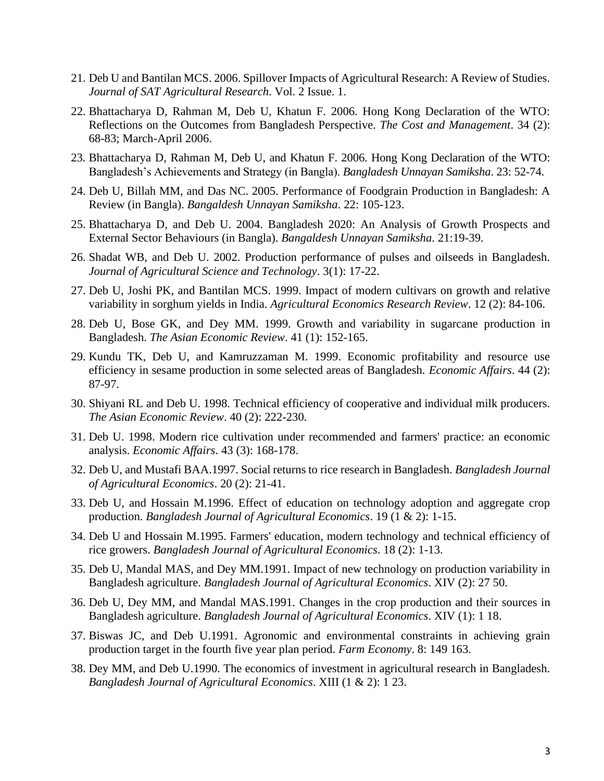- 21. Deb U and Bantilan MCS. 2006. Spillover Impacts of Agricultural Research: A Review of Studies. *Journal of SAT Agricultural Research*. Vol. 2 Issue. 1.
- 22. Bhattacharya D, Rahman M, Deb U, Khatun F. 2006. Hong Kong Declaration of the WTO: Reflections on the Outcomes from Bangladesh Perspective. *The Cost and Management*. 34 (2): 68-83; March-April 2006.
- 23. Bhattacharya D, Rahman M, Deb U, and Khatun F. 2006. Hong Kong Declaration of the WTO: Bangladesh's Achievements and Strategy (in Bangla). *Bangladesh Unnayan Samiksha*. 23: 52-74.
- 24. Deb U, Billah MM, and Das NC. 2005. Performance of Foodgrain Production in Bangladesh: A Review (in Bangla). *Bangaldesh Unnayan Samiksha*. 22: 105-123.
- 25. Bhattacharya D, and Deb U. 2004. Bangladesh 2020: An Analysis of Growth Prospects and External Sector Behaviours (in Bangla). *Bangaldesh Unnayan Samiksha*. 21:19-39.
- 26. Shadat WB, and Deb U. 2002. Production performance of pulses and oilseeds in Bangladesh. *Journal of Agricultural Science and Technology*. 3(1): 17-22.
- 27. Deb U, Joshi PK, and Bantilan MCS. 1999. Impact of modern cultivars on growth and relative variability in sorghum yields in India. *Agricultural Economics Research Review*. 12 (2): 84-106.
- 28. Deb U, Bose GK, and Dey MM. 1999. Growth and variability in sugarcane production in Bangladesh. *The Asian Economic Review*. 41 (1): 152-165.
- 29. Kundu TK, Deb U, and Kamruzzaman M. 1999. Economic profitability and resource use efficiency in sesame production in some selected areas of Bangladesh. *Economic Affairs*. 44 (2): 87-97.
- 30. Shiyani RL and Deb U. 1998. Technical efficiency of cooperative and individual milk producers. *The Asian Economic Review*. 40 (2): 222-230.
- 31. Deb U. 1998. Modern rice cultivation under recommended and farmers' practice: an economic analysis. *Economic Affairs*. 43 (3): 168-178.
- 32. Deb U, and Mustafi BAA.1997. Social returns to rice research in Bangladesh. *Bangladesh Journal of Agricultural Economics*. 20 (2): 21-41.
- 33. Deb U, and Hossain M.1996. Effect of education on technology adoption and aggregate crop production. *Bangladesh Journal of Agricultural Economics*. 19 (1 & 2): 1-15.
- 34. Deb U and Hossain M.1995. Farmers' education, modern technology and technical efficiency of rice growers. *Bangladesh Journal of Agricultural Economics*. 18 (2): 1-13.
- 35. Deb U, Mandal MAS, and Dey MM.1991. Impact of new technology on production variability in Bangladesh agriculture. *Bangladesh Journal of Agricultural Economics*. XIV (2): 27 50.
- 36. Deb U, Dey MM, and Mandal MAS.1991. Changes in the crop production and their sources in Bangladesh agriculture. *Bangladesh Journal of Agricultural Economics*. XIV (1): 1 18.
- 37. Biswas JC, and Deb U.1991. Agronomic and environmental constraints in achieving grain production target in the fourth five year plan period. *Farm Economy*. 8: 149 163.
- 38. Dey MM, and Deb U.1990. The economics of investment in agricultural research in Bangladesh. *Bangladesh Journal of Agricultural Economics*. XIII (1 & 2): 1 23.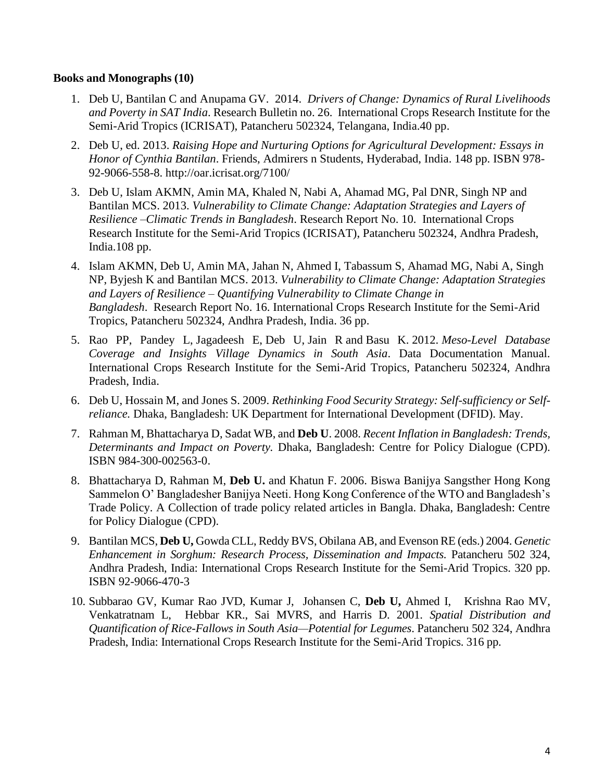### **Books and Monographs (10)**

- 1. Deb U, Bantilan C and Anupama GV. 2014. *Drivers of Change: Dynamics of Rural Livelihoods and Poverty in SAT India*. Research Bulletin no. 26. International Crops Research Institute for the Semi-Arid Tropics (ICRISAT), Patancheru 502324, Telangana, India.40 pp.
- 2. Deb U, ed. 2013. *Raising Hope and Nurturing Options for Agricultural Development: Essays in Honor of Cynthia Bantilan*. Friends, Admirers n Students, Hyderabad, India. 148 pp. ISBN 978- 92-9066-558-8. http://oar.icrisat.org/7100/
- 3. Deb U, Islam AKMN, Amin MA, Khaled N, Nabi A, Ahamad MG, Pal DNR, Singh NP and Bantilan MCS. 2013. *Vulnerability to Climate Change: Adaptation Strategies and Layers of Resilience –Climatic Trends in Bangladesh*. Research Report No. 10. International Crops Research Institute for the Semi-Arid Tropics (ICRISAT), Patancheru 502324, Andhra Pradesh, India.108 pp.
- 4. Islam AKMN, Deb U, Amin MA, Jahan N, Ahmed I, Tabassum S, Ahamad MG, Nabi A, Singh NP, Byjesh K and Bantilan MCS. 2013. *Vulnerability to Climate Change: Adaptation Strategies and Layers of Resilience – Quantifying Vulnerability to Climate Change in Bangladesh*. Research Report No. 16. International Crops Research Institute for the Semi-Arid Tropics, Patancheru 502324, Andhra Pradesh, India. 36 pp.
- 5. Rao PP, Pandey L, Jagadeesh E, Deb U, Jain R and Basu K. 2012. *Meso-Level Database Coverage and Insights Village Dynamics in South Asia*. Data Documentation Manual. International Crops Research Institute for the Semi-Arid Tropics, Patancheru 502324, Andhra Pradesh, India.
- 6. Deb U, Hossain M, and Jones S. 2009. *Rethinking Food Security Strategy: Self-sufficiency or Selfreliance.* Dhaka, Bangladesh: UK Department for International Development (DFID). May.
- 7. Rahman M, Bhattacharya D, Sadat WB, and **Deb U**. 2008. *Recent Inflation in Bangladesh: Trends, Determinants and Impact on Poverty.* Dhaka, Bangladesh: Centre for Policy Dialogue (CPD). ISBN 984-300-002563-0.
- 8. Bhattacharya D, Rahman M, **Deb U.** and Khatun F. 2006. Biswa Banijya Sangsther Hong Kong Sammelon O' Bangladesher Banijya Neeti. Hong Kong Conference of the WTO and Bangladesh's Trade Policy. A Collection of trade policy related articles in Bangla. Dhaka, Bangladesh: Centre for Policy Dialogue (CPD).
- 9. Bantilan MCS, **Deb U,** Gowda CLL, Reddy BVS, Obilana AB, and Evenson RE (eds.) 2004. *Genetic Enhancement in Sorghum: Research Process, Dissemination and Impacts.* Patancheru 502 324, Andhra Pradesh, India: International Crops Research Institute for the Semi-Arid Tropics. 320 pp. ISBN 92-9066-470-3
- 10. Subbarao GV, Kumar Rao JVD, Kumar J, Johansen C, **Deb U,** Ahmed I, Krishna Rao MV, Venkatratnam L, Hebbar KR., Sai MVRS, and Harris D. 2001. *Spatial Distribution and Quantification of Rice-Fallows in South Asia—Potential for Legumes*. Patancheru 502 324, Andhra Pradesh, India: International Crops Research Institute for the Semi-Arid Tropics. 316 pp.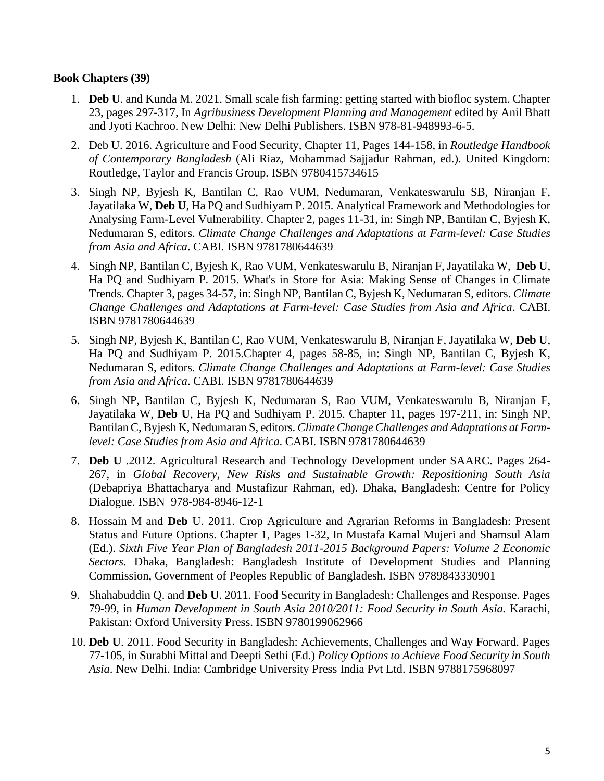### **Book Chapters (39)**

- 1. **Deb U**. and Kunda M. 2021. Small scale fish farming: getting started with biofloc system. Chapter 23, pages 297-317, In *Agribusiness Development Planning and Management* edited by Anil Bhatt and Jyoti Kachroo. New Delhi: New Delhi Publishers. ISBN 978-81-948993-6-5.
- 2. Deb U. 2016. Agriculture and Food Security, Chapter 11, Pages 144-158, in *Routledge Handbook of Contemporary Bangladesh* (Ali Riaz, Mohammad Sajjadur Rahman, ed.). United Kingdom: Routledge, Taylor and Francis Group. ISBN 9780415734615
- 3. Singh NP, Byjesh K, Bantilan C, Rao VUM, Nedumaran, Venkateswarulu SB, Niranjan F, Jayatilaka W, **Deb U**, Ha PQ and Sudhiyam P. 2015. Analytical Framework and Methodologies for Analysing Farm-Level Vulnerability. Chapter 2, pages 11-31, in: Singh NP, Bantilan C, Byjesh K, Nedumaran S, editors. *Climate Change Challenges and Adaptations at Farm-level: Case Studies from Asia and Africa*. CABI. ISBN 9781780644639
- 4. Singh NP, Bantilan C, Byjesh K, Rao VUM, Venkateswarulu B, Niranjan F, Jayatilaka W, **Deb U**, Ha PQ and Sudhiyam P. 2015. What's in Store for Asia: Making Sense of Changes in Climate Trends. Chapter 3, pages 34-57, in: Singh NP, Bantilan C, Byjesh K, Nedumaran S, editors. *Climate Change Challenges and Adaptations at Farm-level: Case Studies from Asia and Africa*. CABI. ISBN 9781780644639
- 5. Singh NP, Byjesh K, Bantilan C, Rao VUM, Venkateswarulu B, Niranjan F, Jayatilaka W, **Deb U**, Ha PQ and Sudhiyam P. 2015.Chapter 4, pages 58-85, in: Singh NP, Bantilan C, Byjesh K, Nedumaran S, editors. *Climate Change Challenges and Adaptations at Farm-level: Case Studies from Asia and Africa*. CABI. ISBN 9781780644639
- 6. Singh NP, Bantilan C, Byjesh K, Nedumaran S, Rao VUM, Venkateswarulu B, Niranjan F, Jayatilaka W, **Deb U**, Ha PQ and Sudhiyam P. 2015. Chapter 11, pages 197-211, in: Singh NP, Bantilan C, Byjesh K, Nedumaran S, editors. *Climate Change Challenges and Adaptations at Farmlevel: Case Studies from Asia and Africa*. CABI. ISBN 9781780644639
- 7. **Deb U** .2012. Agricultural Research and Technology Development under SAARC. Pages 264- 267, in *Global Recovery, New Risks and Sustainable Growth: Repositioning South Asia* (Debapriya Bhattacharya and Mustafizur Rahman, ed). Dhaka, Bangladesh: Centre for Policy Dialogue. ISBN 978-984-8946-12-1
- 8. Hossain M and **Deb** U. 2011. Crop Agriculture and Agrarian Reforms in Bangladesh: Present Status and Future Options. Chapter 1, Pages 1-32, In Mustafa Kamal Mujeri and Shamsul Alam (Ed.). *Sixth Five Year Plan of Bangladesh 2011-2015 Background Papers: Volume 2 Economic Sectors.* Dhaka, Bangladesh: Bangladesh Institute of Development Studies and Planning Commission, Government of Peoples Republic of Bangladesh. ISBN 9789843330901
- 9. Shahabuddin Q. and **Deb U**. 2011. Food Security in Bangladesh: Challenges and Response. Pages 79-99, in *Human Development in South Asia 2010/2011: Food Security in South Asia.* Karachi, Pakistan: Oxford University Press. ISBN 9780199062966
- 10. **Deb U**. 2011. Food Security in Bangladesh: Achievements, Challenges and Way Forward. Pages 77-105, in Surabhi Mittal and Deepti Sethi (Ed.) *Policy Options to Achieve Food Security in South Asia*. New Delhi. India: Cambridge University Press India Pvt Ltd. ISBN 9788175968097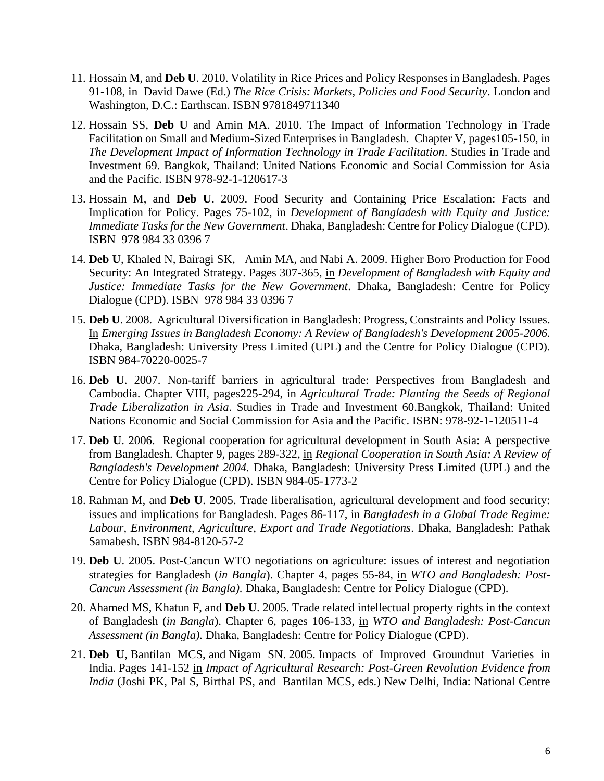- 11. Hossain M, and **Deb U**. 2010. Volatility in Rice Prices and Policy Responses in Bangladesh. Pages 91-108, in David Dawe (Ed.) *The Rice Crisis: Markets, Policies and Food Security*. London and Washington, D.C.: Earthscan. ISBN 9781849711340
- 12. Hossain SS, **Deb U** and Amin MA. 2010. The Impact of Information Technology in Trade Facilitation on Small and Medium-Sized Enterprises in Bangladesh. Chapter V, pages105-150, in *The Development Impact of Information Technology in Trade Facilitation*. Studies in Trade and Investment 69. Bangkok, Thailand: United Nations Economic and Social Commission for Asia and the Pacific. ISBN 978-92-1-120617-3
- 13. Hossain M, and **Deb U**. 2009. Food Security and Containing Price Escalation: Facts and Implication for Policy. Pages 75-102, in *Development of Bangladesh with Equity and Justice: Immediate Tasks for the New Government*. Dhaka, Bangladesh: Centre for Policy Dialogue (CPD). ISBN 978 984 33 0396 7
- 14. **Deb U**, Khaled N, Bairagi SK, Amin MA, and Nabi A. 2009. Higher Boro Production for Food Security: An Integrated Strategy. Pages 307-365, in *Development of Bangladesh with Equity and Justice: Immediate Tasks for the New Government*. Dhaka, Bangladesh: Centre for Policy Dialogue (CPD). ISBN 978 984 33 0396 7
- 15. **Deb U**. 2008. Agricultural Diversification in Bangladesh: Progress, Constraints and Policy Issues. In *Emerging Issues in Bangladesh Economy: A Review of Bangladesh's Development 2005-2006.* Dhaka, Bangladesh: University Press Limited (UPL) and the Centre for Policy Dialogue (CPD). ISBN 984-70220-0025-7
- 16. **Deb U**. 2007. Non-tariff barriers in agricultural trade: Perspectives from Bangladesh and Cambodia. Chapter VIII, pages225-294, in *Agricultural Trade: Planting the Seeds of Regional Trade Liberalization in Asia*. Studies in Trade and Investment 60.Bangkok, Thailand: United Nations Economic and Social Commission for Asia and the Pacific. ISBN: 978-92-1-120511-4
- 17. **Deb U**. 2006. Regional cooperation for agricultural development in South Asia: A perspective from Bangladesh. Chapter 9, pages 289-322, in *Regional Cooperation in South Asia: A Review of Bangladesh's Development 2004.* Dhaka, Bangladesh: University Press Limited (UPL) and the Centre for Policy Dialogue (CPD). ISBN 984-05-1773-2
- 18. Rahman M, and **Deb U**. 2005. Trade liberalisation, agricultural development and food security: issues and implications for Bangladesh. Pages 86-117, in *Bangladesh in a Global Trade Regime: Labour, Environment, Agriculture, Export and Trade Negotiations*. Dhaka, Bangladesh: Pathak Samabesh. ISBN 984-8120-57-2
- 19. **Deb U**. 2005. Post-Cancun WTO negotiations on agriculture: issues of interest and negotiation strategies for Bangladesh (*in Bangla*). Chapter 4, pages 55-84, in *WTO and Bangladesh: Post-Cancun Assessment (in Bangla).* Dhaka, Bangladesh: Centre for Policy Dialogue (CPD).
- 20. Ahamed MS, Khatun F, and **Deb U**. 2005. Trade related intellectual property rights in the context of Bangladesh (*in Bangla*). Chapter 6, pages 106-133, in *WTO and Bangladesh: Post-Cancun Assessment (in Bangla).* Dhaka, Bangladesh: Centre for Policy Dialogue (CPD).
- 21. **Deb U**, Bantilan MCS, and Nigam SN. 2005. Impacts of Improved Groundnut Varieties in India. Pages 141-152 in *Impact of Agricultural Research: Post-Green Revolution Evidence from India* (Joshi PK, Pal S, Birthal PS, and Bantilan MCS, eds.) New Delhi, India: National Centre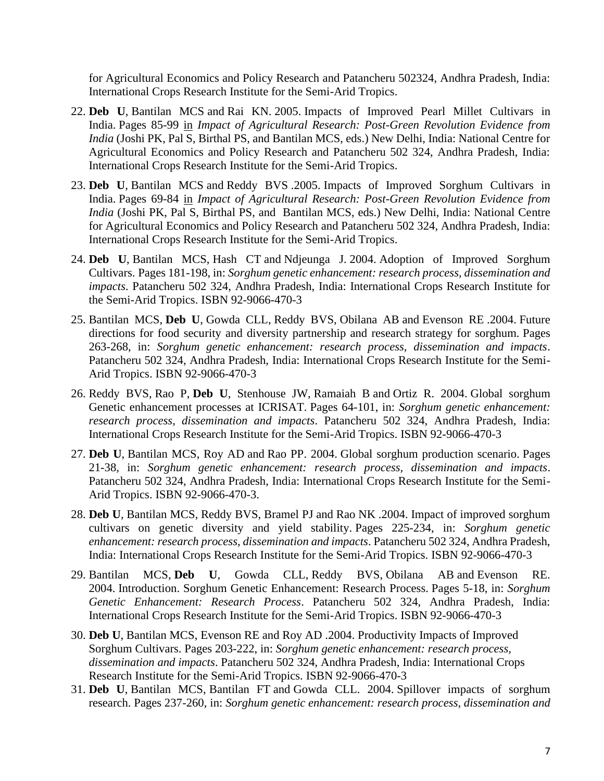for Agricultural Economics and Policy Research and Patancheru 502324, Andhra Pradesh, India: International Crops Research Institute for the Semi-Arid Tropics.

- 22. **Deb U**, Bantilan MCS and Rai KN. 2005. Impacts of Improved Pearl Millet Cultivars in India. Pages 85-99 in *Impact of Agricultural Research: Post-Green Revolution Evidence from India* (Joshi PK, Pal S, Birthal PS, and Bantilan MCS, eds.) New Delhi, India: National Centre for Agricultural Economics and Policy Research and Patancheru 502 324, Andhra Pradesh, India: International Crops Research Institute for the Semi-Arid Tropics.
- 23. **Deb U**, Bantilan MCS and Reddy BVS .2005. Impacts of Improved Sorghum Cultivars in India. Pages 69-84 in *Impact of Agricultural Research: Post-Green Revolution Evidence from India* (Joshi PK, Pal S, Birthal PS, and Bantilan MCS, eds.) New Delhi, India: National Centre for Agricultural Economics and Policy Research and Patancheru 502 324, Andhra Pradesh, India: International Crops Research Institute for the Semi-Arid Tropics.
- 24. **Deb U**, Bantilan MCS, Hash CT and Ndjeunga J. 2004. Adoption of Improved Sorghum Cultivars. Pages 181-198, in: *Sorghum genetic enhancement: research process, dissemination and impacts*. Patancheru 502 324, Andhra Pradesh, India: International Crops Research Institute for the Semi-Arid Tropics. ISBN 92-9066-470-3
- 25. Bantilan MCS, **Deb U**, Gowda CLL, Reddy BVS, Obilana AB and Evenson RE .2004. Future directions for food security and diversity partnership and research strategy for sorghum. Pages 263-268, in: *Sorghum genetic enhancement: research process, dissemination and impacts*. Patancheru 502 324, Andhra Pradesh, India: International Crops Research Institute for the Semi-Arid Tropics. ISBN 92-9066-470-3
- 26. Reddy BVS, Rao P, **Deb U**, Stenhouse JW, Ramaiah B and Ortiz R. 2004. Global sorghum Genetic enhancement processes at ICRISAT. Pages 64-101, in: *Sorghum genetic enhancement: research process, dissemination and impacts*. Patancheru 502 324, Andhra Pradesh, India: International Crops Research Institute for the Semi-Arid Tropics. ISBN 92-9066-470-3
- 27. **Deb U**, Bantilan MCS, Roy AD and Rao PP. 2004. Global sorghum production scenario. Pages 21-38, in: *Sorghum genetic enhancement: research process, dissemination and impacts*. Patancheru 502 324, Andhra Pradesh, India: International Crops Research Institute for the Semi-Arid Tropics. ISBN 92-9066-470-3.
- 28. **Deb U**, Bantilan MCS, Reddy BVS, Bramel PJ and Rao NK .2004. [Impact of improved sorghum](http://oar.icrisat.org/4812/)  [cultivars on genetic diversity and yield stability.](http://oar.icrisat.org/4812/) Pages 225-234, in: *Sorghum genetic enhancement: research process, dissemination and impacts*. Patancheru 502 324, Andhra Pradesh, India: International Crops Research Institute for the Semi-Arid Tropics. ISBN 92-9066-470-3
- 29. Bantilan MCS, **Deb U**, Gowda CLL, Reddy BVS, Obilana AB and Evenson RE. 2004. Introduction. Sorghum Genetic Enhancement: Research Process. Pages 5-18, in: *Sorghum Genetic Enhancement: Research Process*. Patancheru 502 324, Andhra Pradesh, India: International Crops Research Institute for the Semi-Arid Tropics. ISBN 92-9066-470-3
- 30. **Deb U**, Bantilan MCS, Evenson RE and Roy AD .2004. Productivity Impacts of Improved Sorghum Cultivars. Pages 203-222, in: *Sorghum genetic enhancement: research process, dissemination and impacts*. Patancheru 502 324, Andhra Pradesh, India: International Crops Research Institute for the Semi-Arid Tropics. ISBN 92-9066-470-3
- 31. **Deb U**, Bantilan MCS, Bantilan FT and Gowda CLL. 2004. Spillover impacts of sorghum research. Pages 237-260, in: *Sorghum genetic enhancement: research process, dissemination and*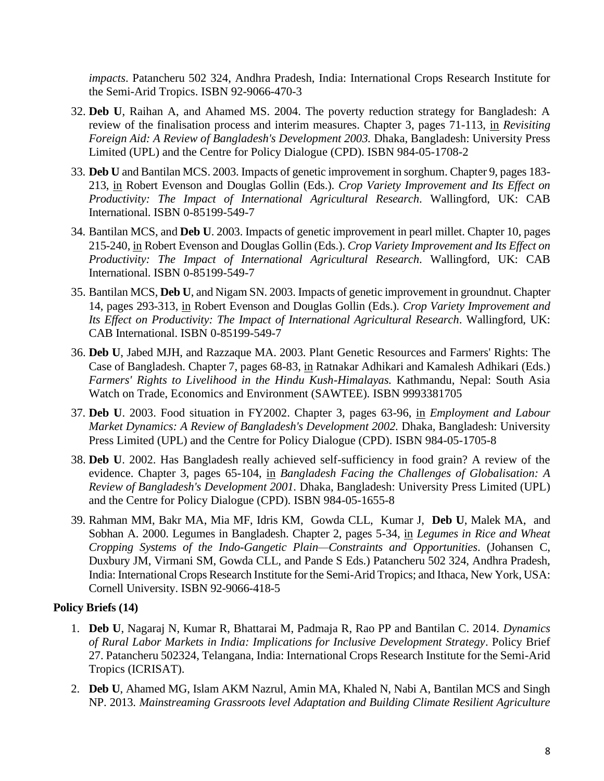*impacts*. Patancheru 502 324, Andhra Pradesh, India: International Crops Research Institute for the Semi-Arid Tropics. ISBN 92-9066-470-3

- 32. **Deb U**, Raihan A, and Ahamed MS. 2004. The poverty reduction strategy for Bangladesh: A review of the finalisation process and interim measures. Chapter 3, pages 71-113, in *Revisiting Foreign Aid: A Review of Bangladesh's Development 2003.* Dhaka, Bangladesh: University Press Limited (UPL) and the Centre for Policy Dialogue (CPD). ISBN 984-05-1708-2
- 33. **Deb U** and Bantilan MCS. 2003. Impacts of genetic improvement in sorghum. Chapter 9, pages 183- 213, in Robert Evenson and Douglas Gollin (Eds.). *Crop Variety Improvement and Its Effect on Productivity: The Impact of International Agricultural Research*. Wallingford, UK: CAB International. ISBN 0-85199-549-7
- 34. Bantilan MCS, and **Deb U**. 2003. Impacts of genetic improvement in pearl millet. Chapter 10, pages 215-240, in Robert Evenson and Douglas Gollin (Eds.). *Crop Variety Improvement and Its Effect on Productivity: The Impact of International Agricultural Research*. Wallingford, UK: CAB International. ISBN 0-85199-549-7
- 35. Bantilan MCS, **Deb U**, and Nigam SN. 2003. Impacts of genetic improvement in groundnut. Chapter 14, pages 293-313, in Robert Evenson and Douglas Gollin (Eds.). *Crop Variety Improvement and Its Effect on Productivity: The Impact of International Agricultural Research*. Wallingford, UK: CAB International. ISBN 0-85199-549-7
- 36. **Deb U**, Jabed MJH, and Razzaque MA. 2003. Plant Genetic Resources and Farmers' Rights: The Case of Bangladesh. Chapter 7, pages 68-83, in Ratnakar Adhikari and Kamalesh Adhikari (Eds.) *Farmers' Rights to Livelihood in the Hindu Kush-Himalayas.* Kathmandu, Nepal: South Asia Watch on Trade, Economics and Environment (SAWTEE). ISBN 9993381705
- 37. **Deb U**. 2003. Food situation in FY2002. Chapter 3, pages 63-96, in *Employment and Labour Market Dynamics: A Review of Bangladesh's Development 2002.* Dhaka, Bangladesh: University Press Limited (UPL) and the Centre for Policy Dialogue (CPD). ISBN 984-05-1705-8
- 38. **Deb U**. 2002. Has Bangladesh really achieved self-sufficiency in food grain? A review of the evidence. Chapter 3, pages 65-104, in *Bangladesh Facing the Challenges of Globalisation: A Review of Bangladesh's Development 2001.* Dhaka, Bangladesh: University Press Limited (UPL) and the Centre for Policy Dialogue (CPD). ISBN 984-05-1655-8
- 39. Rahman MM, Bakr MA, Mia MF, Idris KM, Gowda CLL, Kumar J, **Deb U**, Malek MA, and Sobhan A. 2000. Legumes in Bangladesh. Chapter 2, pages 5-34, in *Legumes in Rice and Wheat Cropping Systems of the Indo-Gangetic Plain—Constraints and Opportunities*. (Johansen C, Duxbury JM, Virmani SM, Gowda CLL, and Pande S Eds.) Patancheru 502 324, Andhra Pradesh, India: International Crops Research Institute for the Semi-Arid Tropics; and Ithaca, New York, USA: Cornell University. ISBN 92-9066-418-5

# **Policy Briefs (14)**

- 1. **Deb U**, Nagaraj N, Kumar R, Bhattarai M, Padmaja R, Rao PP and Bantilan C. 2014. *Dynamics of Rural Labor Markets in India: Implications for Inclusive Development Strategy*. Policy Brief 27. Patancheru 502324, Telangana, India: International Crops Research Institute for the Semi-Arid Tropics (ICRISAT).
- 2. **Deb U**, Ahamed MG, Islam AKM Nazrul, Amin MA, Khaled N, Nabi A, Bantilan MCS and Singh NP. 2013. *Mainstreaming Grassroots level Adaptation and Building Climate Resilient Agriculture*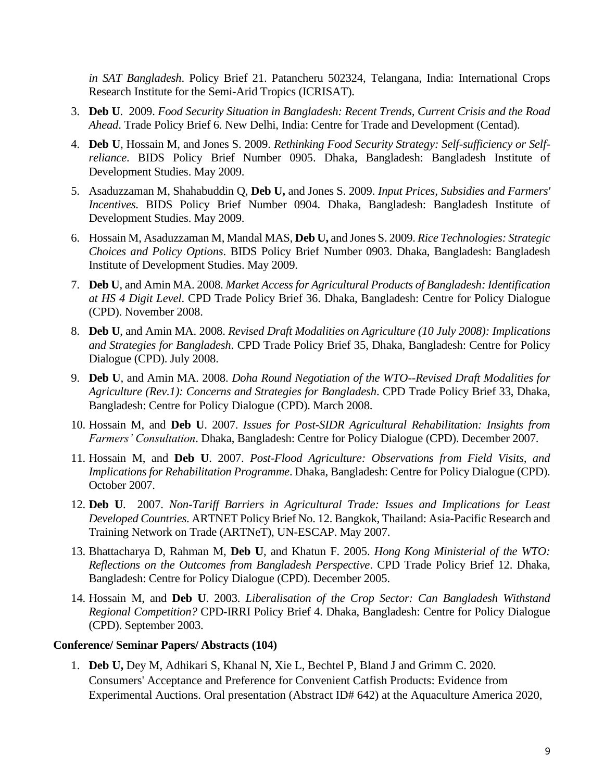*in SAT Bangladesh*. Policy Brief 21. Patancheru 502324, Telangana, India: International Crops Research Institute for the Semi-Arid Tropics (ICRISAT).

- 3. **Deb U**. 2009. *Food Security Situation in Bangladesh: Recent Trends, Current Crisis and the Road Ahead*. Trade Policy Brief 6. New Delhi, India: Centre for Trade and Development (Centad).
- 4. **Deb U**, Hossain M, and Jones S. 2009. *Rethinking Food Security Strategy: Self-sufficiency or Selfreliance*. BIDS Policy Brief Number 0905. Dhaka, Bangladesh: Bangladesh Institute of Development Studies. May 2009.
- 5. Asaduzzaman M, Shahabuddin Q, **Deb U,** and Jones S. 2009. *Input Prices, Subsidies and Farmers' Incentives*. BIDS Policy Brief Number 0904. Dhaka, Bangladesh: Bangladesh Institute of Development Studies. May 2009.
- 6. Hossain M, Asaduzzaman M, Mandal MAS, **Deb U,** and Jones S. 2009. *Rice Technologies: Strategic Choices and Policy Options*. BIDS Policy Brief Number 0903. Dhaka, Bangladesh: Bangladesh Institute of Development Studies. May 2009.
- 7. **Deb U**, and Amin MA. 2008. *Market Access for Agricultural Products of Bangladesh: Identification at HS 4 Digit Level*. CPD Trade Policy Brief 36. Dhaka, Bangladesh: Centre for Policy Dialogue (CPD). November 2008.
- 8. **Deb U**, and Amin MA. 2008. *Revised Draft Modalities on Agriculture (10 July 2008): Implications and Strategies for Bangladesh*. CPD Trade Policy Brief 35, Dhaka, Bangladesh: Centre for Policy Dialogue (CPD). July 2008.
- 9. **Deb U**, and Amin MA. 2008. *Doha Round Negotiation of the WTO--Revised Draft Modalities for Agriculture (Rev.1): Concerns and Strategies for Bangladesh*. CPD Trade Policy Brief 33, Dhaka, Bangladesh: Centre for Policy Dialogue (CPD). March 2008.
- 10. Hossain M, and **Deb U**. 2007. *Issues for Post-SIDR Agricultural Rehabilitation: Insights from Farmers' Consultation*. Dhaka, Bangladesh: Centre for Policy Dialogue (CPD). December 2007.
- 11. Hossain M, and **Deb U**. 2007. *Post-Flood Agriculture: Observations from Field Visits, and Implications for Rehabilitation Programme*. Dhaka, Bangladesh: Centre for Policy Dialogue (CPD). October 2007.
- 12. **Deb U**. 2007. *Non-Tariff Barriers in Agricultural Trade: Issues and Implications for Least Developed Countries*. ARTNET Policy Brief No. 12. Bangkok, Thailand: Asia-Pacific Research and Training Network on Trade (ARTNeT), UN-ESCAP. May 2007.
- 13. Bhattacharya D, Rahman M, **Deb U**, and Khatun F. 2005. *Hong Kong Ministerial of the WTO: Reflections on the Outcomes from Bangladesh Perspective*. CPD Trade Policy Brief 12. Dhaka, Bangladesh: Centre for Policy Dialogue (CPD). December 2005.
- 14. Hossain M, and **Deb U**. 2003. *Liberalisation of the Crop Sector: Can Bangladesh Withstand Regional Competition?* CPD-IRRI Policy Brief 4. Dhaka, Bangladesh: Centre for Policy Dialogue (CPD). September 2003.

#### **Conference/ Seminar Papers/ Abstracts (104)**

1. **Deb U,** Dey M, Adhikari S, Khanal N, Xie L, Bechtel P, Bland J and Grimm C. 2020. Consumers' Acceptance and Preference for Convenient Catfish Products: Evidence from Experimental Auctions. Oral presentation (Abstract ID# 642) at the Aquaculture America 2020,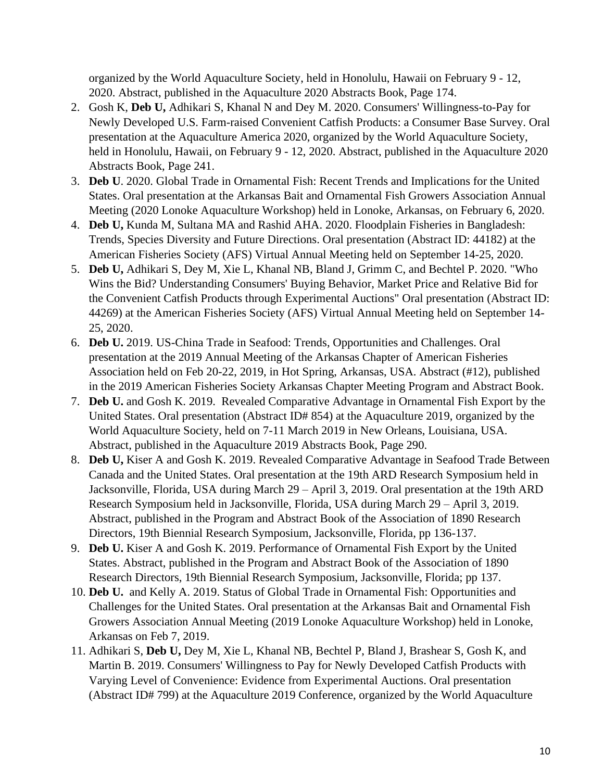organized by the World Aquaculture Society, held in Honolulu, Hawaii on February 9 - 12, 2020. Abstract, published in the Aquaculture 2020 Abstracts Book, Page 174.

- 2. Gosh K, **Deb U,** Adhikari S, Khanal N and Dey M. 2020. Consumers' Willingness-to-Pay for Newly Developed U.S. Farm-raised Convenient Catfish Products: a Consumer Base Survey. Oral presentation at the Aquaculture America 2020, organized by the World Aquaculture Society, held in Honolulu, Hawaii, on February 9 - 12, 2020. Abstract, published in the Aquaculture 2020 Abstracts Book, Page 241.
- 3. **Deb U**. 2020. Global Trade in Ornamental Fish: Recent Trends and Implications for the United States. Oral presentation at the Arkansas Bait and Ornamental Fish Growers Association Annual Meeting (2020 Lonoke Aquaculture Workshop) held in Lonoke, Arkansas, on February 6, 2020.
- 4. **Deb U,** Kunda M, Sultana MA and Rashid AHA. 2020. Floodplain Fisheries in Bangladesh: Trends, Species Diversity and Future Directions. Oral presentation (Abstract ID: 44182) at the American Fisheries Society (AFS) Virtual Annual Meeting held on September 14-25, 2020.
- 5. **Deb U,** Adhikari S, Dey M, Xie L, Khanal NB, Bland J, Grimm C, and Bechtel P. 2020. "Who Wins the Bid? Understanding Consumers' Buying Behavior, Market Price and Relative Bid for the Convenient Catfish Products through Experimental Auctions" Oral presentation (Abstract ID: 44269) at the American Fisheries Society (AFS) Virtual Annual Meeting held on September 14- 25, 2020.
- 6. **Deb U.** 2019. US-China Trade in Seafood: Trends, Opportunities and Challenges. Oral presentation at the 2019 Annual Meeting of the Arkansas Chapter of American Fisheries Association held on Feb 20-22, 2019, in Hot Spring, Arkansas, USA. Abstract (#12), published in the 2019 American Fisheries Society Arkansas Chapter Meeting Program and Abstract Book.
- 7. **Deb U.** and Gosh K. 2019. Revealed Comparative Advantage in Ornamental Fish Export by the United States. Oral presentation (Abstract ID# 854) at the Aquaculture 2019, organized by the World Aquaculture Society, held on 7-11 March 2019 in New Orleans, Louisiana, USA. Abstract, published in the Aquaculture 2019 Abstracts Book, Page 290.
- 8. **Deb U,** Kiser A and Gosh K. 2019. Revealed Comparative Advantage in Seafood Trade Between Canada and the United States. Oral presentation at the 19th ARD Research Symposium held in Jacksonville, Florida, USA during March 29 – April 3, 2019. Oral presentation at the 19th ARD Research Symposium held in Jacksonville, Florida, USA during March 29 – April 3, 2019. Abstract, published in the Program and Abstract Book of the Association of 1890 Research Directors, 19th Biennial Research Symposium, Jacksonville, Florida, pp 136-137.
- 9. **Deb U.** Kiser A and Gosh K. 2019. Performance of Ornamental Fish Export by the United States. Abstract, published in the Program and Abstract Book of the Association of 1890 Research Directors, 19th Biennial Research Symposium, Jacksonville, Florida; pp 137.
- 10. **Deb U.** and Kelly A. 2019. Status of Global Trade in Ornamental Fish: Opportunities and Challenges for the United States. Oral presentation at the Arkansas Bait and Ornamental Fish Growers Association Annual Meeting (2019 Lonoke Aquaculture Workshop) held in Lonoke, Arkansas on Feb 7, 2019.
- 11. Adhikari S, **Deb U,** Dey M, Xie L, Khanal NB, Bechtel P, Bland J, Brashear S, Gosh K, and Martin B. 2019. Consumers' Willingness to Pay for Newly Developed Catfish Products with Varying Level of Convenience: Evidence from Experimental Auctions. Oral presentation (Abstract ID# 799) at the Aquaculture 2019 Conference, organized by the World Aquaculture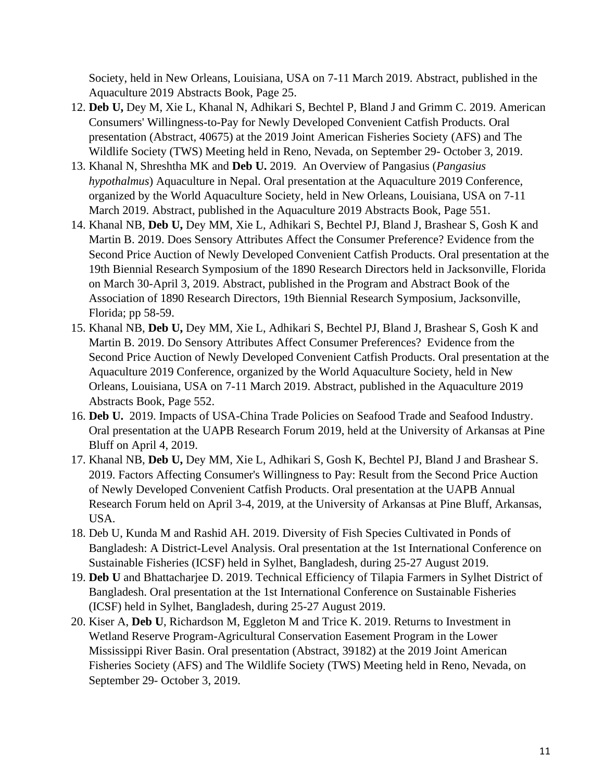Society, held in New Orleans, Louisiana, USA on 7-11 March 2019. Abstract, published in the Aquaculture 2019 Abstracts Book, Page 25.

- 12. **Deb U,** Dey M, Xie L, Khanal N, Adhikari S, Bechtel P, Bland J and Grimm C. 2019. American Consumers' Willingness-to-Pay for Newly Developed Convenient Catfish Products. Oral presentation (Abstract, 40675) at the 2019 Joint American Fisheries Society (AFS) and The Wildlife Society (TWS) Meeting held in Reno, Nevada, on September 29- October 3, 2019.
- 13. Khanal N, Shreshtha MK and **Deb U.** 2019. An Overview of Pangasius (*Pangasius hypothalmus*) Aquaculture in Nepal. Oral presentation at the Aquaculture 2019 Conference, organized by the World Aquaculture Society, held in New Orleans, Louisiana, USA on 7-11 March 2019. Abstract, published in the Aquaculture 2019 Abstracts Book, Page 551.
- 14. Khanal NB, **Deb U,** Dey MM, Xie L, Adhikari S, Bechtel PJ, Bland J, Brashear S, Gosh K and Martin B. 2019. Does Sensory Attributes Affect the Consumer Preference? Evidence from the Second Price Auction of Newly Developed Convenient Catfish Products. Oral presentation at the 19th Biennial Research Symposium of the 1890 Research Directors held in Jacksonville, Florida on March 30-April 3, 2019. Abstract, published in the Program and Abstract Book of the Association of 1890 Research Directors, 19th Biennial Research Symposium, Jacksonville, Florida; pp 58-59.
- 15. Khanal NB, **Deb U,** Dey MM, Xie L, Adhikari S, Bechtel PJ, Bland J, Brashear S, Gosh K and Martin B. 2019. Do Sensory Attributes Affect Consumer Preferences? Evidence from the Second Price Auction of Newly Developed Convenient Catfish Products. Oral presentation at the Aquaculture 2019 Conference, organized by the World Aquaculture Society, held in New Orleans, Louisiana, USA on 7-11 March 2019. Abstract, published in the Aquaculture 2019 Abstracts Book, Page 552.
- 16. **Deb U.** 2019. Impacts of USA-China Trade Policies on Seafood Trade and Seafood Industry. Oral presentation at the UAPB Research Forum 2019, held at the University of Arkansas at Pine Bluff on April 4, 2019.
- 17. Khanal NB, **Deb U,** Dey MM, Xie L, Adhikari S, Gosh K, Bechtel PJ, Bland J and Brashear S. 2019. Factors Affecting Consumer's Willingness to Pay: Result from the Second Price Auction of Newly Developed Convenient Catfish Products. Oral presentation at the UAPB Annual Research Forum held on April 3-4, 2019, at the University of Arkansas at Pine Bluff, Arkansas, USA.
- 18. Deb U, Kunda M and Rashid AH. 2019. Diversity of Fish Species Cultivated in Ponds of Bangladesh: A District-Level Analysis. Oral presentation at the 1st International Conference on Sustainable Fisheries (ICSF) held in Sylhet, Bangladesh, during 25-27 August 2019.
- 19. **Deb U** and Bhattacharjee D. 2019. Technical Efficiency of Tilapia Farmers in Sylhet District of Bangladesh. Oral presentation at the 1st International Conference on Sustainable Fisheries (ICSF) held in Sylhet, Bangladesh, during 25-27 August 2019.
- 20. Kiser A, **Deb U**, Richardson M, Eggleton M and Trice K. 2019. Returns to Investment in Wetland Reserve Program-Agricultural Conservation Easement Program in the Lower Mississippi River Basin. Oral presentation (Abstract, 39182) at the 2019 Joint American Fisheries Society (AFS) and The Wildlife Society (TWS) Meeting held in Reno, Nevada, on September 29- October 3, 2019.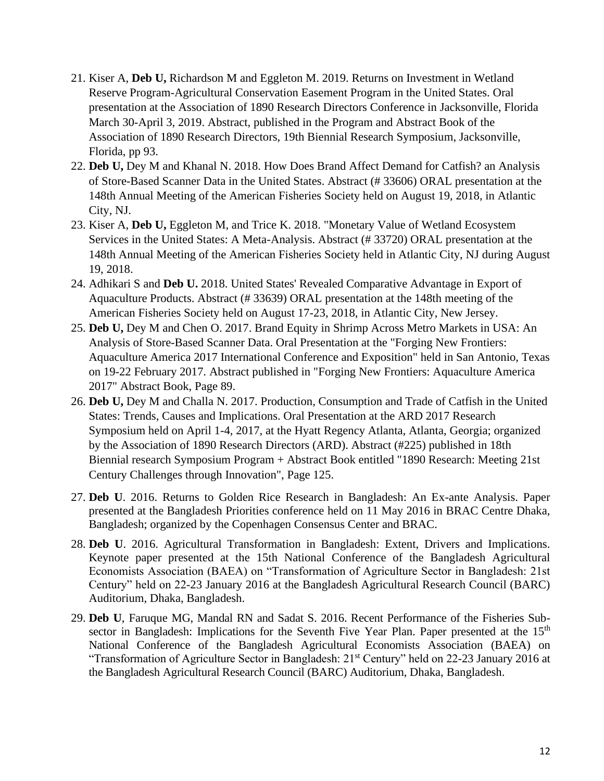- 21. Kiser A, **Deb U,** Richardson M and Eggleton M. 2019. Returns on Investment in Wetland Reserve Program-Agricultural Conservation Easement Program in the United States. Oral presentation at the Association of 1890 Research Directors Conference in Jacksonville, Florida March 30-April 3, 2019. Abstract, published in the Program and Abstract Book of the Association of 1890 Research Directors, 19th Biennial Research Symposium, Jacksonville, Florida, pp 93.
- 22. **Deb U,** Dey M and Khanal N. 2018. How Does Brand Affect Demand for Catfish? an Analysis of Store-Based Scanner Data in the United States. Abstract (# 33606) ORAL presentation at the 148th Annual Meeting of the American Fisheries Society held on August 19, 2018, in Atlantic City, NJ.
- 23. Kiser A, **Deb U,** Eggleton M, and Trice K. 2018. "Monetary Value of Wetland Ecosystem Services in the United States: A Meta-Analysis. Abstract (# 33720) ORAL presentation at the 148th Annual Meeting of the American Fisheries Society held in Atlantic City, NJ during August 19, 2018.
- 24. Adhikari S and **Deb U.** 2018. United States' Revealed Comparative Advantage in Export of Aquaculture Products. Abstract (# 33639) ORAL presentation at the 148th meeting of the American Fisheries Society held on August 17-23, 2018, in Atlantic City, New Jersey.
- 25. **Deb U,** Dey M and Chen O. 2017. Brand Equity in Shrimp Across Metro Markets in USA: An Analysis of Store-Based Scanner Data. Oral Presentation at the "Forging New Frontiers: Aquaculture America 2017 International Conference and Exposition" held in San Antonio, Texas on 19-22 February 2017. Abstract published in "Forging New Frontiers: Aquaculture America 2017" Abstract Book, Page 89.
- 26. **Deb U,** Dey M and Challa N. 2017. Production, Consumption and Trade of Catfish in the United States: Trends, Causes and Implications. Oral Presentation at the ARD 2017 Research Symposium held on April 1-4, 2017, at the Hyatt Regency Atlanta, Atlanta, Georgia; organized by the Association of 1890 Research Directors (ARD). Abstract (#225) published in 18th Biennial research Symposium Program + Abstract Book entitled "1890 Research: Meeting 21st Century Challenges through Innovation", Page 125.
- 27. **Deb U**. 2016. Returns to Golden Rice Research in Bangladesh: An Ex-ante Analysis. Paper presented at the Bangladesh Priorities conference held on 11 May 2016 in BRAC Centre Dhaka, Bangladesh; organized by the Copenhagen Consensus Center and BRAC.
- 28. **Deb U**. 2016. Agricultural Transformation in Bangladesh: Extent, Drivers and Implications. Keynote paper presented at the 15th National Conference of the Bangladesh Agricultural Economists Association (BAEA) on "Transformation of Agriculture Sector in Bangladesh: 21st Century" held on 22-23 January 2016 at the Bangladesh Agricultural Research Council (BARC) Auditorium, Dhaka, Bangladesh.
- 29. **Deb U**, Faruque MG, Mandal RN and Sadat S. 2016. Recent Performance of the Fisheries Subsector in Bangladesh: Implications for the Seventh Five Year Plan. Paper presented at the 15<sup>th</sup> National Conference of the Bangladesh Agricultural Economists Association (BAEA) on "Transformation of Agriculture Sector in Bangladesh: 21st Century" held on 22-23 January 2016 at the Bangladesh Agricultural Research Council (BARC) Auditorium, Dhaka, Bangladesh.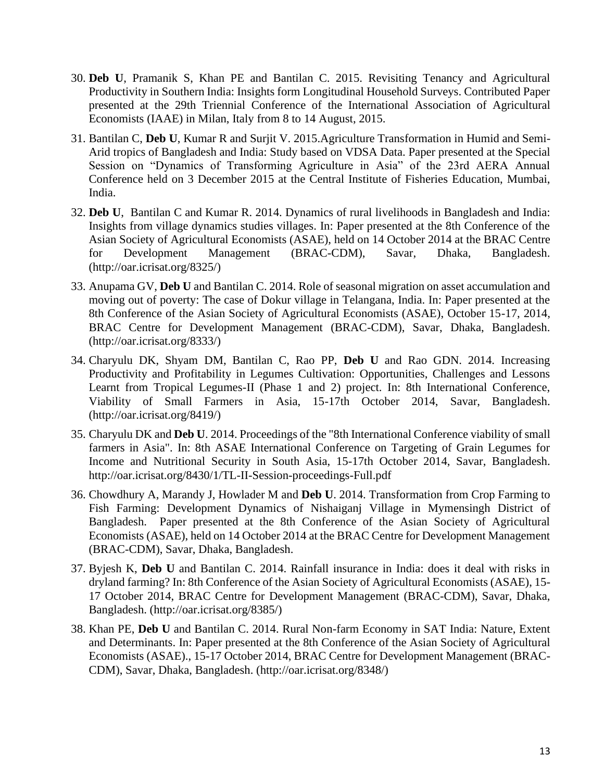- 30. **Deb U**, Pramanik S, Khan PE and Bantilan C. 2015. Revisiting Tenancy and Agricultural Productivity in Southern India: Insights form Longitudinal Household Surveys. Contributed Paper presented at the 29th Triennial Conference of the International Association of Agricultural Economists (IAAE) in Milan, Italy from 8 to 14 August, 2015.
- 31. Bantilan C, **Deb U**, Kumar R and Surjit V. 2015.Agriculture Transformation in Humid and Semi-Arid tropics of Bangladesh and India: Study based on VDSA Data. Paper presented at the Special Session on "Dynamics of Transforming Agriculture in Asia" of the 23rd AERA Annual Conference held on 3 December 2015 at the Central Institute of Fisheries Education, Mumbai, India.
- 32. **Deb U**, Bantilan C and Kumar R. 2014. Dynamics of rural livelihoods in Bangladesh and India: Insights from village dynamics studies villages. In: Paper presented at the 8th Conference of the Asian Society of Agricultural Economists (ASAE), held on 14 October 2014 at the BRAC Centre for Development Management (BRAC-CDM), Savar, Dhaka, Bangladesh. (http://oar.icrisat.org/8325/)
- 33. Anupama GV, **Deb U** and Bantilan C. 2014. Role of seasonal migration on asset accumulation and moving out of poverty: The case of Dokur village in Telangana, India. In: Paper presented at the 8th Conference of the Asian Society of Agricultural Economists (ASAE), October 15-17, 2014, BRAC Centre for Development Management (BRAC-CDM), Savar, Dhaka, Bangladesh. (http://oar.icrisat.org/8333/)
- 34. Charyulu DK, Shyam DM, Bantilan C, Rao PP, **Deb U** and Rao GDN. 2014. Increasing Productivity and Profitability in Legumes Cultivation: Opportunities, Challenges and Lessons Learnt from Tropical Legumes-II (Phase 1 and 2) project. In: 8th International Conference, Viability of Small Farmers in Asia, 15-17th October 2014, Savar, Bangladesh. (http://oar.icrisat.org/8419/)
- 35. Charyulu DK and **Deb U**. 2014. Proceedings of the "8th International Conference viability of small farmers in Asia". In: 8th ASAE International Conference on Targeting of Grain Legumes for Income and Nutritional Security in South Asia, 15-17th October 2014, Savar, Bangladesh. http://oar.icrisat.org/8430/1/TL-II-Session-proceedings-Full.pdf
- 36. Chowdhury A, Marandy J, Howlader M and **Deb U**. 2014. Transformation from Crop Farming to Fish Farming: Development Dynamics of Nishaiganj Village in Mymensingh District of Bangladesh. Paper presented at the 8th Conference of the Asian Society of Agricultural Economists (ASAE), held on 14 October 2014 at the BRAC Centre for Development Management (BRAC-CDM), Savar, Dhaka, Bangladesh.
- 37. Byjesh K, **Deb U** and Bantilan C. 2014. Rainfall insurance in India: does it deal with risks in dryland farming? In: 8th Conference of the Asian Society of Agricultural Economists (ASAE), 15- 17 October 2014, BRAC Centre for Development Management (BRAC-CDM), Savar, Dhaka, Bangladesh. (http://oar.icrisat.org/8385/)
- 38. Khan PE, **Deb U** and Bantilan C. 2014. Rural Non-farm Economy in SAT India: Nature, Extent and Determinants. In: Paper presented at the 8th Conference of the Asian Society of Agricultural Economists (ASAE)., 15-17 October 2014, BRAC Centre for Development Management (BRAC-CDM), Savar, Dhaka, Bangladesh. (http://oar.icrisat.org/8348/)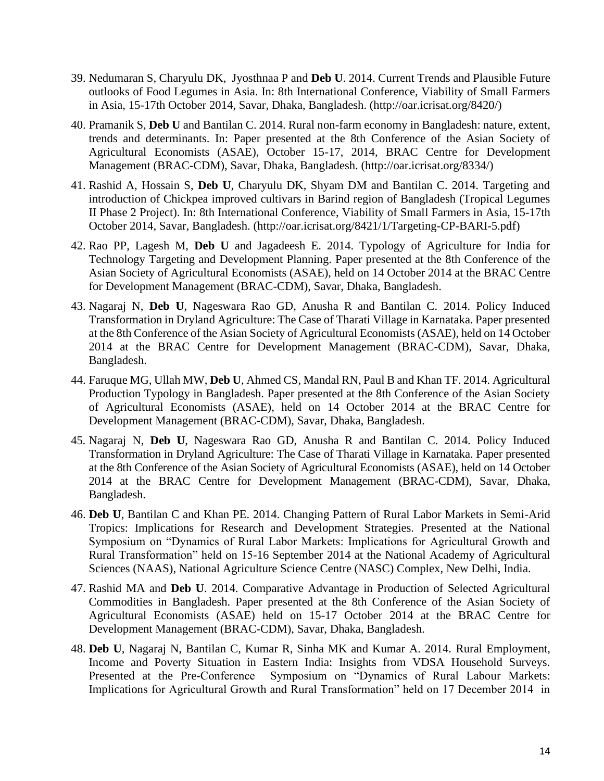- 39. Nedumaran S, Charyulu DK, Jyosthnaa P and **Deb U**. 2014. Current Trends and Plausible Future outlooks of Food Legumes in Asia. In: 8th International Conference, Viability of Small Farmers in Asia, 15-17th October 2014, Savar, Dhaka, Bangladesh. (http://oar.icrisat.org/8420/)
- 40. Pramanik S, **Deb U** and Bantilan C. 2014. Rural non-farm economy in Bangladesh: nature, extent, trends and determinants. In: Paper presented at the 8th Conference of the Asian Society of Agricultural Economists (ASAE), October 15-17, 2014, BRAC Centre for Development Management (BRAC-CDM), Savar, Dhaka, Bangladesh. (http://oar.icrisat.org/8334/)
- 41. Rashid A, Hossain S, **Deb U**, Charyulu DK, Shyam DM and Bantilan C. 2014. Targeting and introduction of Chickpea improved cultivars in Barind region of Bangladesh (Tropical Legumes II Phase 2 Project). In: 8th International Conference, Viability of Small Farmers in Asia, 15-17th October 2014, Savar, Bangladesh. (http://oar.icrisat.org/8421/1/Targeting-CP-BARI-5.pdf)
- 42. Rao PP, Lagesh M, **Deb U** and Jagadeesh E. 2014. Typology of Agriculture for India for Technology Targeting and Development Planning. Paper presented at the 8th Conference of the Asian Society of Agricultural Economists (ASAE), held on 14 October 2014 at the BRAC Centre for Development Management (BRAC-CDM), Savar, Dhaka, Bangladesh.
- 43. Nagaraj N, **Deb U**, Nageswara Rao GD, Anusha R and Bantilan C. 2014. Policy Induced Transformation in Dryland Agriculture: The Case of Tharati Village in Karnataka. Paper presented at the 8th Conference of the Asian Society of Agricultural Economists (ASAE), held on 14 October 2014 at the BRAC Centre for Development Management (BRAC-CDM), Savar, Dhaka, Bangladesh.
- 44. Faruque MG, Ullah MW, **Deb U**, Ahmed CS, Mandal RN, Paul B and Khan TF. 2014. Agricultural Production Typology in Bangladesh. Paper presented at the 8th Conference of the Asian Society of Agricultural Economists (ASAE), held on 14 October 2014 at the BRAC Centre for Development Management (BRAC-CDM), Savar, Dhaka, Bangladesh.
- 45. Nagaraj N, **Deb U**, Nageswara Rao GD, Anusha R and Bantilan C. 2014. Policy Induced Transformation in Dryland Agriculture: The Case of Tharati Village in Karnataka. Paper presented at the 8th Conference of the Asian Society of Agricultural Economists (ASAE), held on 14 October 2014 at the BRAC Centre for Development Management (BRAC-CDM), Savar, Dhaka, Bangladesh.
- 46. **Deb U**, Bantilan C and Khan PE. 2014. Changing Pattern of Rural Labor Markets in Semi-Arid Tropics: Implications for Research and Development Strategies. Presented at the National Symposium on "Dynamics of Rural Labor Markets: Implications for Agricultural Growth and Rural Transformation" held on 15-16 September 2014 at the National Academy of Agricultural Sciences (NAAS), National Agriculture Science Centre (NASC) Complex, New Delhi, India.
- 47. Rashid MA and **Deb U**. 2014. Comparative Advantage in Production of Selected Agricultural Commodities in Bangladesh. Paper presented at the 8th Conference of the Asian Society of Agricultural Economists (ASAE) held on 15-17 October 2014 at the BRAC Centre for Development Management (BRAC-CDM), Savar, Dhaka, Bangladesh.
- 48. **Deb U**, Nagaraj N, Bantilan C, Kumar R, Sinha MK and Kumar A. 2014. Rural Employment, Income and Poverty Situation in Eastern India: Insights from VDSA Household Surveys. Presented at the Pre-Conference Symposium on "Dynamics of Rural Labour Markets: Implications for Agricultural Growth and Rural Transformation" held on 17 December 2014 in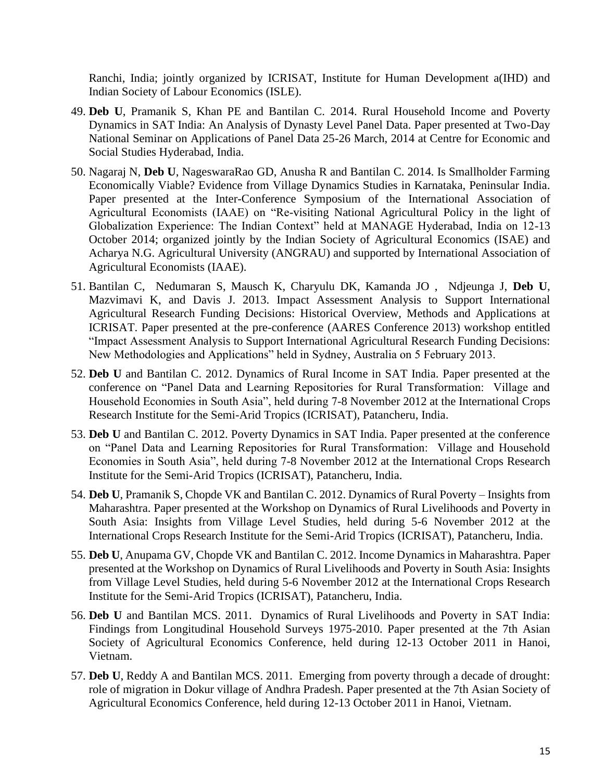Ranchi, India; jointly organized by ICRISAT, Institute for Human Development a(IHD) and Indian Society of Labour Economics (ISLE).

- 49. **Deb U**, Pramanik S, Khan PE and Bantilan C. 2014. Rural Household Income and Poverty Dynamics in SAT India: An Analysis of Dynasty Level Panel Data. Paper presented at Two-Day National Seminar on Applications of Panel Data 25-26 March, 2014 at Centre for Economic and Social Studies Hyderabad, India.
- 50. Nagaraj N, **Deb U**, NageswaraRao GD, Anusha R and Bantilan C. 2014. Is Smallholder Farming Economically Viable? Evidence from Village Dynamics Studies in Karnataka, Peninsular India. Paper presented at the Inter-Conference Symposium of the International Association of Agricultural Economists (IAAE) on "Re-visiting National Agricultural Policy in the light of Globalization Experience: The Indian Context" held at MANAGE Hyderabad, India on 12-13 October 2014; organized jointly by the Indian Society of Agricultural Economics (ISAE) and Acharya N.G. Agricultural University (ANGRAU) and supported by International Association of Agricultural Economists (IAAE).
- 51. Bantilan C, Nedumaran S, Mausch K, Charyulu DK, Kamanda JO , Ndjeunga J, **Deb U**, Mazvimavi K, and Davis J. 2013. Impact Assessment Analysis to Support International Agricultural Research Funding Decisions: Historical Overview, Methods and Applications at ICRISAT. Paper presented at the pre-conference (AARES Conference 2013) workshop entitled "Impact Assessment Analysis to Support International Agricultural Research Funding Decisions: New Methodologies and Applications" held in Sydney, Australia on 5 February 2013.
- 52. **Deb U** and Bantilan C. 2012. Dynamics of Rural Income in SAT India. Paper presented at the conference on "Panel Data and Learning Repositories for Rural Transformation: Village and Household Economies in South Asia", held during 7-8 November 2012 at the International Crops Research Institute for the Semi-Arid Tropics (ICRISAT), Patancheru, India.
- 53. **Deb U** and Bantilan C. 2012. Poverty Dynamics in SAT India. Paper presented at the conference on "Panel Data and Learning Repositories for Rural Transformation: Village and Household Economies in South Asia", held during 7-8 November 2012 at the International Crops Research Institute for the Semi-Arid Tropics (ICRISAT), Patancheru, India.
- 54. **Deb U**, Pramanik S, Chopde VK and Bantilan C. 2012. Dynamics of Rural Poverty Insights from Maharashtra. Paper presented at the Workshop on Dynamics of Rural Livelihoods and Poverty in South Asia: Insights from Village Level Studies, held during 5-6 November 2012 at the International Crops Research Institute for the Semi-Arid Tropics (ICRISAT), Patancheru, India.
- 55. **Deb U**, Anupama GV, Chopde VK and Bantilan C. 2012. Income Dynamics in Maharashtra. Paper presented at the Workshop on Dynamics of Rural Livelihoods and Poverty in South Asia: Insights from Village Level Studies, held during 5-6 November 2012 at the International Crops Research Institute for the Semi-Arid Tropics (ICRISAT), Patancheru, India.
- 56. **Deb U** and Bantilan MCS. 2011. Dynamics of Rural Livelihoods and Poverty in SAT India: Findings from Longitudinal Household Surveys 1975-2010. Paper presented at the 7th Asian Society of Agricultural Economics Conference, held during 12-13 October 2011 in Hanoi, Vietnam.
- 57. **Deb U**, Reddy A and Bantilan MCS. 2011. Emerging from poverty through a decade of drought: role of migration in Dokur village of Andhra Pradesh. Paper presented at the 7th Asian Society of Agricultural Economics Conference, held during 12-13 October 2011 in Hanoi, Vietnam.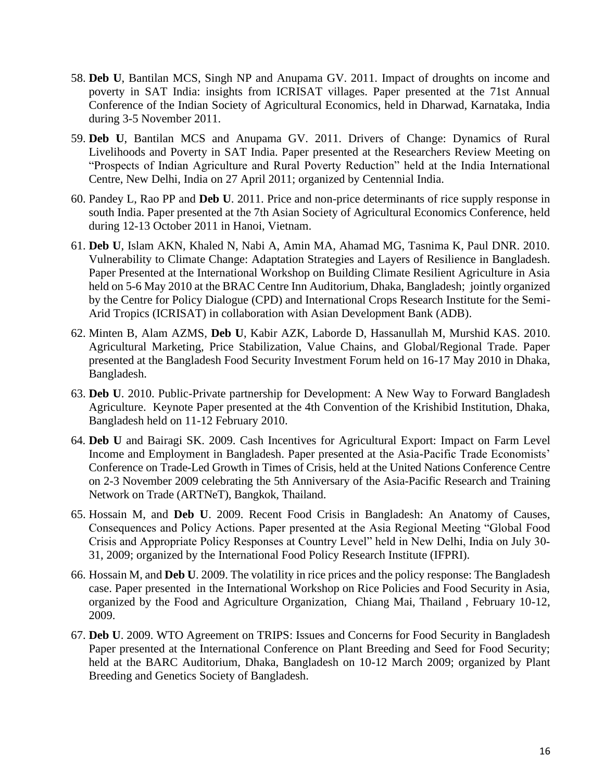- 58. **Deb U**, Bantilan MCS, Singh NP and Anupama GV. 2011. Impact of droughts on income and poverty in SAT India: insights from ICRISAT villages. Paper presented at the 71st Annual Conference of the Indian Society of Agricultural Economics, held in Dharwad, Karnataka, India during 3-5 November 2011.
- 59. **Deb U**, Bantilan MCS and Anupama GV. 2011. Drivers of Change: Dynamics of Rural Livelihoods and Poverty in SAT India. Paper presented at the Researchers Review Meeting on "Prospects of Indian Agriculture and Rural Poverty Reduction" held at the India International Centre, New Delhi, India on 27 April 2011; organized by Centennial India.
- 60. Pandey L, Rao PP and **Deb U**. 2011. Price and non-price determinants of rice supply response in south India. Paper presented at the 7th Asian Society of Agricultural Economics Conference, held during 12-13 October 2011 in Hanoi, Vietnam.
- 61. **Deb U**, Islam AKN, Khaled N, Nabi A, Amin MA, Ahamad MG, Tasnima K, Paul DNR. 2010. Vulnerability to Climate Change: Adaptation Strategies and Layers of Resilience in Bangladesh. Paper Presented at the International Workshop on Building Climate Resilient Agriculture in Asia held on 5-6 May 2010 at the BRAC Centre Inn Auditorium, Dhaka, Bangladesh; jointly organized by the Centre for Policy Dialogue (CPD) and International Crops Research Institute for the Semi-Arid Tropics (ICRISAT) in collaboration with Asian Development Bank (ADB).
- 62. Minten B, Alam AZMS, **Deb U**, Kabir AZK, Laborde D, Hassanullah M, Murshid KAS. 2010. Agricultural Marketing, Price Stabilization, Value Chains, and Global/Regional Trade. Paper presented at the Bangladesh Food Security Investment Forum held on 16-17 May 2010 in Dhaka, Bangladesh.
- 63. **Deb U**. 2010. Public-Private partnership for Development: A New Way to Forward Bangladesh Agriculture. Keynote Paper presented at the 4th Convention of the Krishibid Institution, Dhaka, Bangladesh held on 11-12 February 2010.
- 64. **Deb U** and Bairagi SK. 2009. Cash Incentives for Agricultural Export: Impact on Farm Level Income and Employment in Bangladesh. Paper presented at the Asia-Pacific Trade Economists' Conference on Trade-Led Growth in Times of Crisis, held at the United Nations Conference Centre on 2-3 November 2009 celebrating the 5th Anniversary of the Asia-Pacific Research and Training Network on Trade (ARTNeT), Bangkok, Thailand.
- 65. Hossain M, and **Deb U**. 2009. Recent Food Crisis in Bangladesh: An Anatomy of Causes, Consequences and Policy Actions. Paper presented at the Asia Regional Meeting "Global Food Crisis and Appropriate Policy Responses at Country Level" held in New Delhi, India on July 30‐ 31, 2009; organized by the International Food Policy Research Institute (IFPRI).
- 66. Hossain M, and **Deb U**. 2009. The volatility in rice prices and the policy response: The Bangladesh case. Paper presented in the International Workshop on Rice Policies and Food Security in Asia, organized by the Food and Agriculture Organization, Chiang Mai, Thailand , February 10-12, 2009.
- 67. **Deb U**. 2009. WTO Agreement on TRIPS: Issues and Concerns for Food Security in Bangladesh Paper presented at the International Conference on Plant Breeding and Seed for Food Security; held at the BARC Auditorium, Dhaka, Bangladesh on 10-12 March 2009; organized by Plant Breeding and Genetics Society of Bangladesh.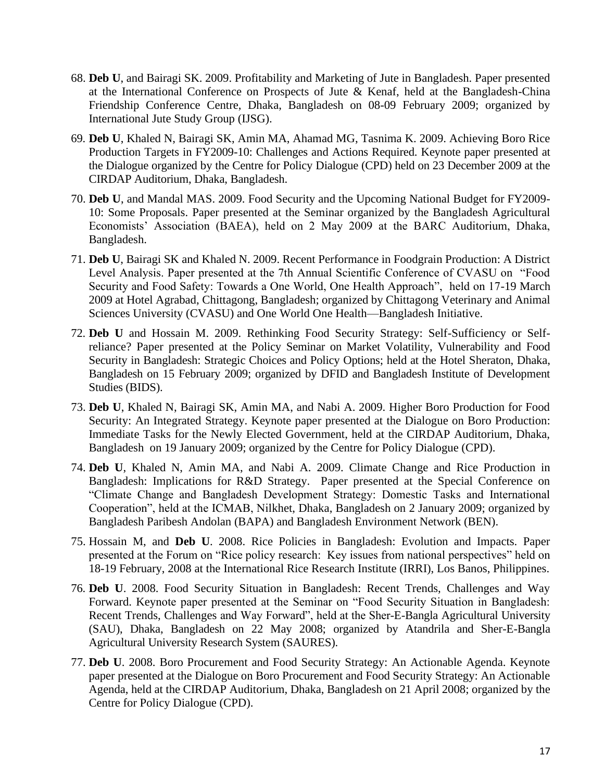- 68. **Deb U**, and Bairagi SK. 2009. Profitability and Marketing of Jute in Bangladesh. Paper presented at the International Conference on Prospects of Jute & Kenaf, held at the Bangladesh-China Friendship Conference Centre, Dhaka, Bangladesh on 08-09 February 2009; organized by International Jute Study Group (IJSG).
- 69. **Deb U**, Khaled N, Bairagi SK, Amin MA, Ahamad MG, Tasnima K. 2009. Achieving Boro Rice Production Targets in FY2009-10: Challenges and Actions Required. Keynote paper presented at the Dialogue organized by the Centre for Policy Dialogue (CPD) held on 23 December 2009 at the CIRDAP Auditorium, Dhaka, Bangladesh.
- 70. **Deb U**, and Mandal MAS. 2009. Food Security and the Upcoming National Budget for FY2009- 10: Some Proposals. Paper presented at the Seminar organized by the Bangladesh Agricultural Economists' Association (BAEA), held on 2 May 2009 at the BARC Auditorium, Dhaka, Bangladesh.
- 71. **Deb U**, Bairagi SK and Khaled N. 2009. Recent Performance in Foodgrain Production: A District Level Analysis. Paper presented at the 7th Annual Scientific Conference of CVASU on "Food Security and Food Safety: Towards a One World, One Health Approach", held on 17-19 March 2009 at Hotel Agrabad, Chittagong, Bangladesh; organized by Chittagong Veterinary and Animal Sciences University (CVASU) and One World One Health—Bangladesh Initiative.
- 72. **Deb U** and Hossain M. 2009. Rethinking Food Security Strategy: Self-Sufficiency or Selfreliance? Paper presented at the Policy Seminar on Market Volatility, Vulnerability and Food Security in Bangladesh: Strategic Choices and Policy Options; held at the Hotel Sheraton, Dhaka, Bangladesh on 15 February 2009; organized by DFID and Bangladesh Institute of Development Studies (BIDS).
- 73. **Deb U**, Khaled N, Bairagi SK, Amin MA, and Nabi A. 2009. Higher Boro Production for Food Security: An Integrated Strategy. Keynote paper presented at the Dialogue on Boro Production: Immediate Tasks for the Newly Elected Government, held at the CIRDAP Auditorium, Dhaka, Bangladesh on 19 January 2009; organized by the Centre for Policy Dialogue (CPD).
- 74. **Deb U**, Khaled N, Amin MA, and Nabi A. 2009. Climate Change and Rice Production in Bangladesh: Implications for R&D Strategy. Paper presented at the Special Conference on "Climate Change and Bangladesh Development Strategy: Domestic Tasks and International Cooperation", held at the ICMAB, Nilkhet, Dhaka, Bangladesh on 2 January 2009; organized by Bangladesh Paribesh Andolan (BAPA) and Bangladesh Environment Network (BEN).
- 75. Hossain M, and **Deb U**. 2008. Rice Policies in Bangladesh: Evolution and Impacts. Paper presented at the Forum on "Rice policy research: Key issues from national perspectives" held on 18-19 February, 2008 at the International Rice Research Institute (IRRI), Los Banos, Philippines.
- 76. **Deb U**. 2008. Food Security Situation in Bangladesh: Recent Trends, Challenges and Way Forward. Keynote paper presented at the Seminar on "Food Security Situation in Bangladesh: Recent Trends, Challenges and Way Forward", held at the Sher-E-Bangla Agricultural University (SAU), Dhaka, Bangladesh on 22 May 2008; organized by Atandrila and Sher-E-Bangla Agricultural University Research System (SAURES).
- 77. **Deb U**. 2008. Boro Procurement and Food Security Strategy: An Actionable Agenda. Keynote paper presented at the Dialogue on Boro Procurement and Food Security Strategy: An Actionable Agenda, held at the CIRDAP Auditorium, Dhaka, Bangladesh on 21 April 2008; organized by the Centre for Policy Dialogue (CPD).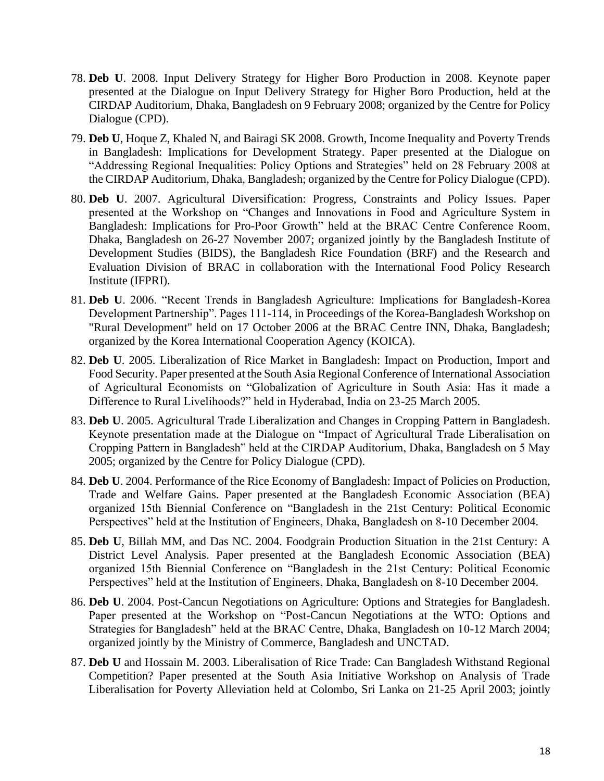- 78. **Deb U**. 2008. Input Delivery Strategy for Higher Boro Production in 2008. Keynote paper presented at the Dialogue on Input Delivery Strategy for Higher Boro Production, held at the CIRDAP Auditorium, Dhaka, Bangladesh on 9 February 2008; organized by the Centre for Policy Dialogue (CPD).
- 79. **Deb U**, Hoque Z, Khaled N, and Bairagi SK 2008. Growth, Income Inequality and Poverty Trends in Bangladesh: Implications for Development Strategy. Paper presented at the Dialogue on "Addressing Regional Inequalities: Policy Options and Strategies" held on 28 February 2008 at the CIRDAP Auditorium, Dhaka, Bangladesh; organized by the Centre for Policy Dialogue (CPD).
- 80. **Deb U**. 2007. Agricultural Diversification: Progress, Constraints and Policy Issues. Paper presented at the Workshop on "Changes and Innovations in Food and Agriculture System in Bangladesh: Implications for Pro-Poor Growth" held at the BRAC Centre Conference Room, Dhaka, Bangladesh on 26-27 November 2007; organized jointly by the Bangladesh Institute of Development Studies (BIDS), the Bangladesh Rice Foundation (BRF) and the Research and Evaluation Division of BRAC in collaboration with the International Food Policy Research Institute (IFPRI).
- 81. **Deb U**. 2006. "Recent Trends in Bangladesh Agriculture: Implications for Bangladesh-Korea Development Partnership". Pages 111-114, in Proceedings of the Korea-Bangladesh Workshop on "Rural Development" held on 17 October 2006 at the BRAC Centre INN, Dhaka, Bangladesh; organized by the Korea International Cooperation Agency (KOICA).
- 82. **Deb U**. 2005. Liberalization of Rice Market in Bangladesh: Impact on Production, Import and Food Security. Paper presented at the South Asia Regional Conference of International Association of Agricultural Economists on "Globalization of Agriculture in South Asia: Has it made a Difference to Rural Livelihoods?" held in Hyderabad, India on 23-25 March 2005.
- 83. **Deb U**. 2005. Agricultural Trade Liberalization and Changes in Cropping Pattern in Bangladesh. Keynote presentation made at the Dialogue on "Impact of Agricultural Trade Liberalisation on Cropping Pattern in Bangladesh" held at the CIRDAP Auditorium, Dhaka, Bangladesh on 5 May 2005; organized by the Centre for Policy Dialogue (CPD).
- 84. **Deb U**. 2004. Performance of the Rice Economy of Bangladesh: Impact of Policies on Production, Trade and Welfare Gains. Paper presented at the Bangladesh Economic Association (BEA) organized 15th Biennial Conference on "Bangladesh in the 21st Century: Political Economic Perspectives" held at the Institution of Engineers, Dhaka, Bangladesh on 8-10 December 2004.
- 85. **Deb U**, Billah MM, and Das NC. 2004. Foodgrain Production Situation in the 21st Century: A District Level Analysis. Paper presented at the Bangladesh Economic Association (BEA) organized 15th Biennial Conference on "Bangladesh in the 21st Century: Political Economic Perspectives" held at the Institution of Engineers, Dhaka, Bangladesh on 8-10 December 2004.
- 86. **Deb U**. 2004. Post-Cancun Negotiations on Agriculture: Options and Strategies for Bangladesh. Paper presented at the Workshop on "Post-Cancun Negotiations at the WTO: Options and Strategies for Bangladesh" held at the BRAC Centre, Dhaka, Bangladesh on 10-12 March 2004; organized jointly by the Ministry of Commerce, Bangladesh and UNCTAD.
- 87. **Deb U** and Hossain M. 2003. Liberalisation of Rice Trade: Can Bangladesh Withstand Regional Competition? Paper presented at the South Asia Initiative Workshop on Analysis of Trade Liberalisation for Poverty Alleviation held at Colombo, Sri Lanka on 21-25 April 2003; jointly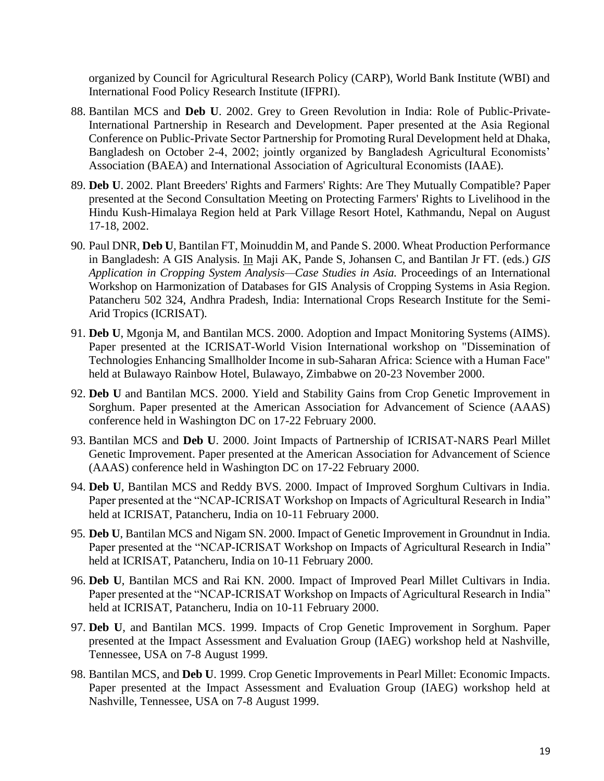organized by Council for Agricultural Research Policy (CARP), World Bank Institute (WBI) and International Food Policy Research Institute (IFPRI).

- 88. Bantilan MCS and **Deb U**. 2002. Grey to Green Revolution in India: Role of Public-Private-International Partnership in Research and Development. Paper presented at the Asia Regional Conference on Public-Private Sector Partnership for Promoting Rural Development held at Dhaka, Bangladesh on October 2-4, 2002; jointly organized by Bangladesh Agricultural Economists' Association (BAEA) and International Association of Agricultural Economists (IAAE).
- 89. **Deb U**. 2002. Plant Breeders' Rights and Farmers' Rights: Are They Mutually Compatible? Paper presented at the Second Consultation Meeting on Protecting Farmers' Rights to Livelihood in the Hindu Kush-Himalaya Region held at Park Village Resort Hotel, Kathmandu, Nepal on August 17-18, 2002.
- 90. Paul DNR, **Deb U**, Bantilan FT, Moinuddin M, and Pande S. 2000. Wheat Production Performance in Bangladesh: A GIS Analysis. In Maji AK, Pande S, Johansen C, and Bantilan Jr FT. (eds.) *GIS Application in Cropping System Analysis—Case Studies in Asia.* Proceedings of an International Workshop on Harmonization of Databases for GIS Analysis of Cropping Systems in Asia Region. Patancheru 502 324, Andhra Pradesh, India: International Crops Research Institute for the Semi-Arid Tropics (ICRISAT).
- 91. **Deb U**, Mgonja M, and Bantilan MCS. 2000. Adoption and Impact Monitoring Systems (AIMS). Paper presented at the ICRISAT-World Vision International workshop on "Dissemination of Technologies Enhancing Smallholder Income in sub-Saharan Africa: Science with a Human Face" held at Bulawayo Rainbow Hotel, Bulawayo, Zimbabwe on 20-23 November 2000.
- 92. **Deb U** and Bantilan MCS. 2000. Yield and Stability Gains from Crop Genetic Improvement in Sorghum. Paper presented at the American Association for Advancement of Science (AAAS) conference held in Washington DC on 17-22 February 2000.
- 93. Bantilan MCS and **Deb U**. 2000. Joint Impacts of Partnership of ICRISAT-NARS Pearl Millet Genetic Improvement. Paper presented at the American Association for Advancement of Science (AAAS) conference held in Washington DC on 17-22 February 2000.
- 94. **Deb U**, Bantilan MCS and Reddy BVS. 2000. Impact of Improved Sorghum Cultivars in India. Paper presented at the "NCAP-ICRISAT Workshop on Impacts of Agricultural Research in India" held at ICRISAT, Patancheru, India on 10-11 February 2000.
- 95. **Deb U**, Bantilan MCS and Nigam SN. 2000. Impact of Genetic Improvement in Groundnut in India. Paper presented at the "NCAP-ICRISAT Workshop on Impacts of Agricultural Research in India" held at ICRISAT, Patancheru, India on 10-11 February 2000.
- 96. **Deb U**, Bantilan MCS and Rai KN. 2000. Impact of Improved Pearl Millet Cultivars in India. Paper presented at the "NCAP-ICRISAT Workshop on Impacts of Agricultural Research in India" held at ICRISAT, Patancheru, India on 10-11 February 2000.
- 97. **Deb U**, and Bantilan MCS. 1999. Impacts of Crop Genetic Improvement in Sorghum. Paper presented at the Impact Assessment and Evaluation Group (IAEG) workshop held at Nashville, Tennessee, USA on 7-8 August 1999.
- 98. Bantilan MCS, and **Deb U**. 1999. Crop Genetic Improvements in Pearl Millet: Economic Impacts. Paper presented at the Impact Assessment and Evaluation Group (IAEG) workshop held at Nashville, Tennessee, USA on 7-8 August 1999.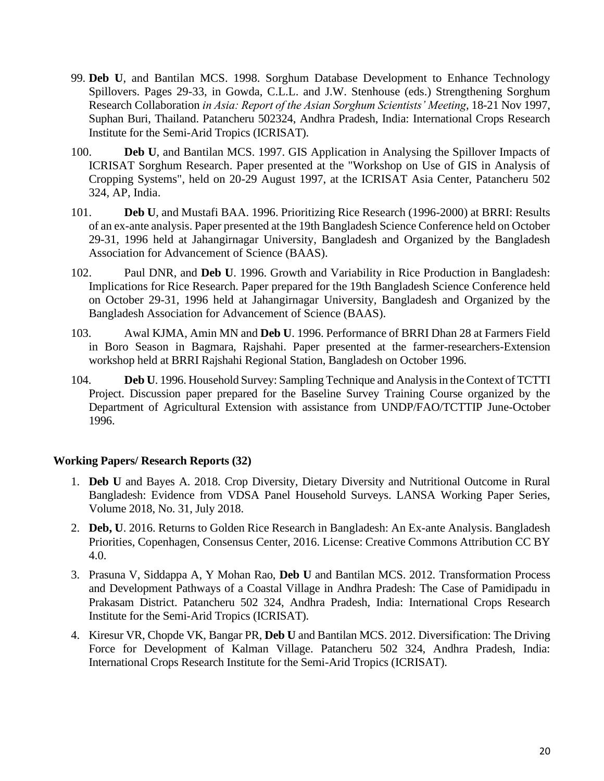- 99. **Deb U**, and Bantilan MCS. 1998. Sorghum Database Development to Enhance Technology Spillovers. Pages 29-33, in Gowda, C.L.L. and J.W. Stenhouse (eds.) Strengthening Sorghum Research Collaboration *in Asia: Report of the Asian Sorghum Scientists' Meeting*, 18-21 Nov 1997, Suphan Buri, Thailand. Patancheru 502324, Andhra Pradesh, India: International Crops Research Institute for the Semi-Arid Tropics (ICRISAT).
- 100. **Deb U**, and Bantilan MCS. 1997. GIS Application in Analysing the Spillover Impacts of ICRISAT Sorghum Research. Paper presented at the "Workshop on Use of GIS in Analysis of Cropping Systems", held on 20-29 August 1997, at the ICRISAT Asia Center, Patancheru 502 324, AP, India.
- 101. **Deb U**, and Mustafi BAA. 1996. Prioritizing Rice Research (1996-2000) at BRRI: Results of an ex-ante analysis. Paper presented at the 19th Bangladesh Science Conference held on October 29-31, 1996 held at Jahangirnagar University, Bangladesh and Organized by the Bangladesh Association for Advancement of Science (BAAS).
- 102. Paul DNR, and **Deb U**. 1996. Growth and Variability in Rice Production in Bangladesh: Implications for Rice Research. Paper prepared for the 19th Bangladesh Science Conference held on October 29-31, 1996 held at Jahangirnagar University, Bangladesh and Organized by the Bangladesh Association for Advancement of Science (BAAS).
- 103. Awal KJMA, Amin MN and **Deb U**. 1996. Performance of BRRI Dhan 28 at Farmers Field in Boro Season in Bagmara, Rajshahi. Paper presented at the farmer-researchers-Extension workshop held at BRRI Rajshahi Regional Station, Bangladesh on October 1996.
- 104. **Deb U**. 1996. Household Survey: Sampling Technique and Analysis in the Context of TCTTI Project. Discussion paper prepared for the Baseline Survey Training Course organized by the Department of Agricultural Extension with assistance from UNDP/FAO/TCTTIP June-October 1996.

# **Working Papers/ Research Reports (32)**

- 1. **Deb U** and Bayes A. 2018. Crop Diversity, Dietary Diversity and Nutritional Outcome in Rural Bangladesh: Evidence from VDSA Panel Household Surveys. LANSA Working Paper Series, Volume 2018, No. 31, July 2018.
- 2. **Deb, U**. 2016. Returns to Golden Rice Research in Bangladesh: An Ex-ante Analysis. Bangladesh Priorities, Copenhagen, Consensus Center, 2016. License: Creative Commons Attribution CC BY 4.0.
- 3. Prasuna V, Siddappa A, Y Mohan Rao, **Deb U** and Bantilan MCS. 2012. Transformation Process and Development Pathways of a Coastal Village in Andhra Pradesh: The Case of Pamidipadu in Prakasam District. Patancheru 502 324, Andhra Pradesh, India: International Crops Research Institute for the Semi-Arid Tropics (ICRISAT).
- 4. Kiresur VR, Chopde VK, Bangar PR, **Deb U** and Bantilan MCS. 2012. Diversification: The Driving Force for Development of Kalman Village. Patancheru 502 324, Andhra Pradesh, India: International Crops Research Institute for the Semi-Arid Tropics (ICRISAT).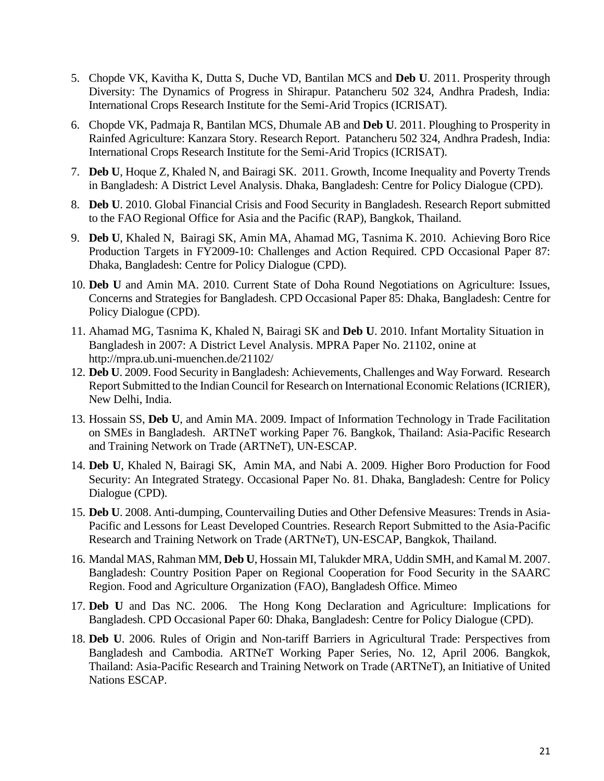- 5. Chopde VK, Kavitha K, Dutta S, Duche VD, Bantilan MCS and **Deb U**. 2011. Prosperity through Diversity: The Dynamics of Progress in Shirapur. Patancheru 502 324, Andhra Pradesh, India: International Crops Research Institute for the Semi-Arid Tropics (ICRISAT).
- 6. Chopde VK, Padmaja R, Bantilan MCS, Dhumale AB and **Deb U**. 2011. Ploughing to Prosperity in Rainfed Agriculture: Kanzara Story. Research Report. Patancheru 502 324, Andhra Pradesh, India: International Crops Research Institute for the Semi-Arid Tropics (ICRISAT).
- 7. **Deb U**, Hoque Z, Khaled N, and Bairagi SK. 2011. Growth, Income Inequality and Poverty Trends in Bangladesh: A District Level Analysis. Dhaka, Bangladesh: Centre for Policy Dialogue (CPD).
- 8. **Deb U**. 2010. Global Financial Crisis and Food Security in Bangladesh. Research Report submitted to the FAO Regional Office for Asia and the Pacific (RAP), Bangkok, Thailand.
- 9. **Deb U**, Khaled N, Bairagi SK, Amin MA, Ahamad MG, Tasnima K. 2010. Achieving Boro Rice Production Targets in FY2009-10: Challenges and Action Required. CPD Occasional Paper 87: Dhaka, Bangladesh: Centre for Policy Dialogue (CPD).
- 10. **Deb U** and Amin MA. 2010. Current State of Doha Round Negotiations on Agriculture: Issues, Concerns and Strategies for Bangladesh. CPD Occasional Paper 85: Dhaka, Bangladesh: Centre for Policy Dialogue (CPD).
- 11. Ahamad MG, Tasnima K, Khaled N, Bairagi SK and **Deb U**. 2010. Infant Mortality Situation in Bangladesh in 2007: A District Level Analysis. MPRA Paper No. 21102, onine at <http://mpra.ub.uni-muenchen.de/21102/>
- 12. **Deb U**. 2009. Food Security in Bangladesh: Achievements, Challenges and Way Forward. Research Report Submitted to the Indian Council for Research on International Economic Relations (ICRIER), New Delhi, India.
- 13. Hossain SS, **Deb U**, and Amin MA. 2009. Impact of Information Technology in Trade Facilitation on SMEs in Bangladesh. ARTNeT working Paper 76. Bangkok, Thailand: Asia-Pacific Research and Training Network on Trade (ARTNeT), UN-ESCAP.
- 14. **Deb U**, Khaled N, Bairagi SK, Amin MA, and Nabi A. 2009. Higher Boro Production for Food Security: An Integrated Strategy. Occasional Paper No. 81. Dhaka, Bangladesh: Centre for Policy Dialogue (CPD).
- 15. **Deb U**. 2008. Anti-dumping, Countervailing Duties and Other Defensive Measures: Trends in Asia-Pacific and Lessons for Least Developed Countries. Research Report Submitted to the Asia-Pacific Research and Training Network on Trade (ARTNeT), UN-ESCAP, Bangkok, Thailand.
- 16. Mandal MAS, Rahman MM, **Deb U**, Hossain MI, Talukder MRA, Uddin SMH, and Kamal M. 2007. Bangladesh: Country Position Paper on Regional Cooperation for Food Security in the SAARC Region. Food and Agriculture Organization (FAO), Bangladesh Office. Mimeo
- 17. **Deb U** and Das NC. 2006. The Hong Kong Declaration and Agriculture: Implications for Bangladesh. CPD Occasional Paper 60: Dhaka, Bangladesh: Centre for Policy Dialogue (CPD).
- 18. **Deb U**. 2006. Rules of Origin and Non-tariff Barriers in Agricultural Trade: Perspectives from Bangladesh and Cambodia. ARTNeT Working Paper Series, No. 12, April 2006. Bangkok, Thailand: Asia-Pacific Research and Training Network on Trade (ARTNeT), an Initiative of United Nations ESCAP.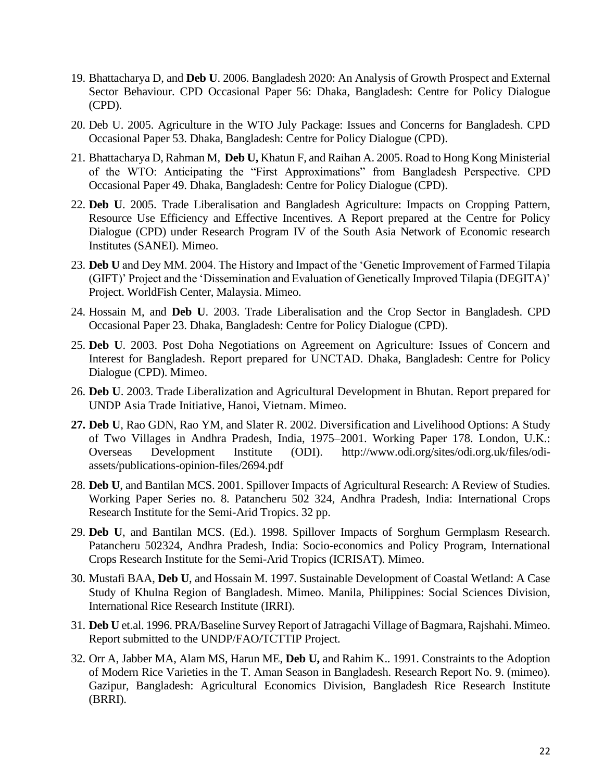- 19. Bhattacharya D, and **Deb U**. 2006. Bangladesh 2020: An Analysis of Growth Prospect and External Sector Behaviour. CPD Occasional Paper 56: Dhaka, Bangladesh: Centre for Policy Dialogue (CPD).
- 20. Deb U. 2005. Agriculture in the WTO July Package: Issues and Concerns for Bangladesh. CPD Occasional Paper 53. Dhaka, Bangladesh: Centre for Policy Dialogue (CPD).
- 21. Bhattacharya D, Rahman M, **Deb U,** Khatun F, and Raihan A. 2005. Road to Hong Kong Ministerial of the WTO: Anticipating the "First Approximations" from Bangladesh Perspective. CPD Occasional Paper 49. Dhaka, Bangladesh: Centre for Policy Dialogue (CPD).
- 22. **Deb U**. 2005. Trade Liberalisation and Bangladesh Agriculture: Impacts on Cropping Pattern, Resource Use Efficiency and Effective Incentives. A Report prepared at the Centre for Policy Dialogue (CPD) under Research Program IV of the South Asia Network of Economic research Institutes (SANEI). Mimeo.
- 23. **Deb U** and Dey MM. 2004. The History and Impact of the 'Genetic Improvement of Farmed Tilapia (GIFT)' Project and the 'Dissemination and Evaluation of Genetically Improved Tilapia (DEGITA)' Project. WorldFish Center, Malaysia. Mimeo.
- 24. Hossain M, and **Deb U**. 2003. Trade Liberalisation and the Crop Sector in Bangladesh. CPD Occasional Paper 23. Dhaka, Bangladesh: Centre for Policy Dialogue (CPD).
- 25. **Deb U**. 2003. Post Doha Negotiations on Agreement on Agriculture: Issues of Concern and Interest for Bangladesh. Report prepared for UNCTAD. Dhaka, Bangladesh: Centre for Policy Dialogue (CPD). Mimeo.
- 26. **Deb U**. 2003. Trade Liberalization and Agricultural Development in Bhutan. Report prepared for UNDP Asia Trade Initiative, Hanoi, Vietnam. Mimeo.
- **27. Deb U**, Rao GDN, Rao YM, and Slater R. 2002. Diversification and Livelihood Options: A Study of Two Villages in Andhra Pradesh, India, 1975–2001. Working Paper 178. London, U.K.: Overseas Development Institute (ODI). [http://www.odi.org/sites/odi.org.uk/files/odi](http://www.odi.org/sites/odi.org.uk/files/odi-assets/publications-opinion-files/2694.pdf)[assets/publications-opinion-files/2694.pdf](http://www.odi.org/sites/odi.org.uk/files/odi-assets/publications-opinion-files/2694.pdf)
- 28. **Deb U**, and Bantilan MCS. 2001. Spillover Impacts of Agricultural Research: A Review of Studies. Working Paper Series no. 8. Patancheru 502 324, Andhra Pradesh, India: International Crops Research Institute for the Semi-Arid Tropics. 32 pp.
- 29. **Deb U**, and Bantilan MCS. (Ed.). 1998. Spillover Impacts of Sorghum Germplasm Research. Patancheru 502324, Andhra Pradesh, India: Socio-economics and Policy Program, International Crops Research Institute for the Semi-Arid Tropics (ICRISAT). Mimeo.
- 30. Mustafi BAA, **Deb U**, and Hossain M. 1997. Sustainable Development of Coastal Wetland: A Case Study of Khulna Region of Bangladesh. Mimeo. Manila, Philippines: Social Sciences Division, International Rice Research Institute (IRRI).
- 31. **Deb U** et.al. 1996. PRA/Baseline Survey Report of Jatragachi Village of Bagmara, Rajshahi. Mimeo. Report submitted to the UNDP/FAO/TCTTIP Project.
- 32. Orr A, Jabber MA, Alam MS, Harun ME, **Deb U,** and Rahim K.. 1991. Constraints to the Adoption of Modern Rice Varieties in the T. Aman Season in Bangladesh. Research Report No. 9. (mimeo). Gazipur, Bangladesh: Agricultural Economics Division, Bangladesh Rice Research Institute (BRRI).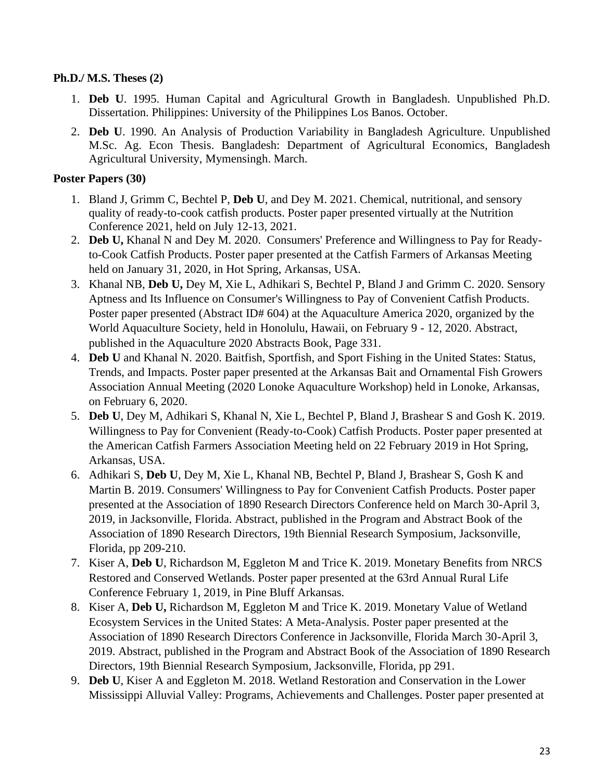## **Ph.D./ M.S. Theses (2)**

- 1. **Deb U**. 1995. Human Capital and Agricultural Growth in Bangladesh. Unpublished Ph.D. Dissertation. Philippines: University of the Philippines Los Banos. October.
- 2. **Deb U**. 1990. An Analysis of Production Variability in Bangladesh Agriculture. Unpublished M.Sc. Ag. Econ Thesis. Bangladesh: Department of Agricultural Economics, Bangladesh Agricultural University, Mymensingh. March.

## **Poster Papers (30)**

- 1. Bland J, Grimm C, Bechtel P, **Deb U**, and Dey M. 2021. Chemical, nutritional, and sensory quality of ready-to-cook catfish products. Poster paper presented virtually at the Nutrition Conference 2021, held on July 12-13, 2021.
- 2. **Deb U,** Khanal N and Dey M. 2020. Consumers' Preference and Willingness to Pay for Readyto-Cook Catfish Products. Poster paper presented at the Catfish Farmers of Arkansas Meeting held on January 31, 2020, in Hot Spring, Arkansas, USA.
- 3. Khanal NB, **Deb U,** Dey M, Xie L, Adhikari S, Bechtel P, Bland J and Grimm C. 2020. Sensory Aptness and Its Influence on Consumer's Willingness to Pay of Convenient Catfish Products. Poster paper presented (Abstract ID# 604) at the Aquaculture America 2020, organized by the World Aquaculture Society, held in Honolulu, Hawaii, on February 9 - 12, 2020. Abstract, published in the Aquaculture 2020 Abstracts Book, Page 331.
- 4. **Deb U** and Khanal N. 2020. Baitfish, Sportfish, and Sport Fishing in the United States: Status, Trends, and Impacts. Poster paper presented at the Arkansas Bait and Ornamental Fish Growers Association Annual Meeting (2020 Lonoke Aquaculture Workshop) held in Lonoke, Arkansas, on February 6, 2020.
- 5. **Deb U**, Dey M, Adhikari S, Khanal N, Xie L, Bechtel P, Bland J, Brashear S and Gosh K. 2019. Willingness to Pay for Convenient (Ready-to-Cook) Catfish Products. Poster paper presented at the American Catfish Farmers Association Meeting held on 22 February 2019 in Hot Spring, Arkansas, USA.
- 6. Adhikari S, **Deb U**, Dey M, Xie L, Khanal NB, Bechtel P, Bland J, Brashear S, Gosh K and Martin B. 2019. Consumers' Willingness to Pay for Convenient Catfish Products. Poster paper presented at the Association of 1890 Research Directors Conference held on March 30-April 3, 2019, in Jacksonville, Florida. Abstract, published in the Program and Abstract Book of the Association of 1890 Research Directors, 19th Biennial Research Symposium, Jacksonville, Florida, pp 209-210.
- 7. Kiser A, **Deb U**, Richardson M, Eggleton M and Trice K. 2019. Monetary Benefits from NRCS Restored and Conserved Wetlands. Poster paper presented at the 63rd Annual Rural Life Conference February 1, 2019, in Pine Bluff Arkansas.
- 8. Kiser A, **Deb U,** Richardson M, Eggleton M and Trice K. 2019. Monetary Value of Wetland Ecosystem Services in the United States: A Meta-Analysis. Poster paper presented at the Association of 1890 Research Directors Conference in Jacksonville, Florida March 30-April 3, 2019. Abstract, published in the Program and Abstract Book of the Association of 1890 Research Directors, 19th Biennial Research Symposium, Jacksonville, Florida, pp 291.
- 9. **Deb U**, Kiser A and Eggleton M. 2018. Wetland Restoration and Conservation in the Lower Mississippi Alluvial Valley: Programs, Achievements and Challenges. Poster paper presented at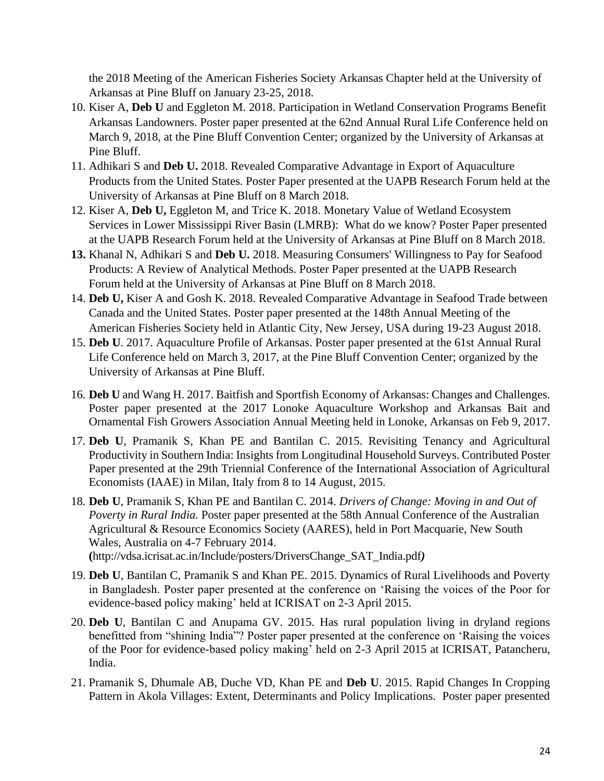the 2018 Meeting of the American Fisheries Society Arkansas Chapter held at the University of Arkansas at Pine Bluff on January 23-25, 2018.

- 10. Kiser A, **Deb U** and Eggleton M. 2018. Participation in Wetland Conservation Programs Benefit Arkansas Landowners. Poster paper presented at the 62nd Annual Rural Life Conference held on March 9, 2018, at the Pine Bluff Convention Center; organized by the University of Arkansas at Pine Bluff.
- 11. Adhikari S and **Deb U.** 2018. Revealed Comparative Advantage in Export of Aquaculture Products from the United States. Poster Paper presented at the UAPB Research Forum held at the University of Arkansas at Pine Bluff on 8 March 2018.
- 12. Kiser A, **Deb U,** Eggleton M, and Trice K. 2018. Monetary Value of Wetland Ecosystem Services in Lower Mississippi River Basin (LMRB): What do we know? Poster Paper presented at the UAPB Research Forum held at the University of Arkansas at Pine Bluff on 8 March 2018.
- **13.** Khanal N, Adhikari S and **Deb U.** 2018. Measuring Consumers' Willingness to Pay for Seafood Products: A Review of Analytical Methods. Poster Paper presented at the UAPB Research Forum held at the University of Arkansas at Pine Bluff on 8 March 2018.
- 14. **Deb U,** Kiser A and Gosh K. 2018. Revealed Comparative Advantage in Seafood Trade between Canada and the United States. Poster paper presented at the 148th Annual Meeting of the American Fisheries Society held in Atlantic City, New Jersey, USA during 19-23 August 2018.
- 15. **Deb U**. 2017. Aquaculture Profile of Arkansas. Poster paper presented at the 61st Annual Rural Life Conference held on March 3, 2017, at the Pine Bluff Convention Center; organized by the University of Arkansas at Pine Bluff.
- 16. **Deb U** and Wang H. 2017. Baitfish and Sportfish Economy of Arkansas: Changes and Challenges. Poster paper presented at the 2017 Lonoke Aquaculture Workshop and Arkansas Bait and Ornamental Fish Growers Association Annual Meeting held in Lonoke, Arkansas on Feb 9, 2017.
- 17. **Deb U**, Pramanik S, Khan PE and Bantilan C. 2015. Revisiting Tenancy and Agricultural Productivity in Southern India: Insights from Longitudinal Household Surveys. Contributed Poster Paper presented at the 29th Triennial Conference of the International Association of Agricultural Economists (IAAE) in Milan, Italy from 8 to 14 August, 2015.
- 18. **Deb U**, Pramanik S, Khan PE and Bantilan C. 2014. *Drivers of Change: Moving in and Out of Poverty in Rural India.* Poster paper presented at the 58th Annual Conference of the Australian Agricultural & Resource Economics Society (AARES), held in Port Macquarie, New South Wales, Australia on 4-7 February 2014. **(**[http://vdsa.icrisat.ac.in/Include/posters/DriversChange\\_SAT\\_India.pdf](http://vdsa.icrisat.ac.in/Include/posters/DriversChange_SAT_India.pdf)*)*
- 19. **Deb U**, Bantilan C, Pramanik S and Khan PE. 2015. Dynamics of Rural Livelihoods and Poverty in Bangladesh. Poster paper presented at the conference on 'Raising the voices of the Poor for evidence-based policy making' held at ICRISAT on 2-3 April 2015.
- 20. **Deb U**, Bantilan C and Anupama GV. 2015. Has rural population living in dryland regions benefitted from "shining India"? Poster paper presented at the conference on 'Raising the voices of the Poor for evidence-based policy making' held on 2-3 April 2015 at ICRISAT, Patancheru, India.
- 21. Pramanik S, Dhumale AB, Duche VD, Khan PE and **Deb U**. 2015. Rapid Changes In Cropping Pattern in Akola Villages: Extent, Determinants and Policy Implications. Poster paper presented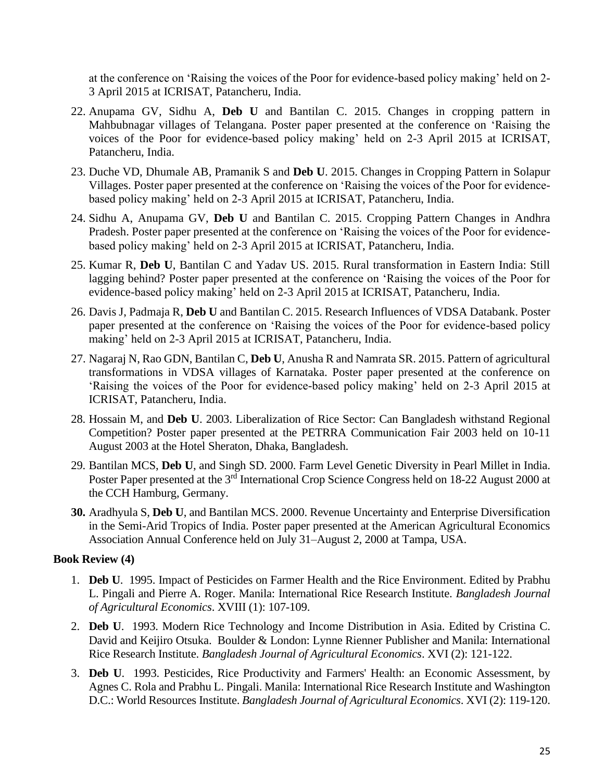at the conference on 'Raising the voices of the Poor for evidence-based policy making' held on 2- 3 April 2015 at ICRISAT, Patancheru, India.

- 22. Anupama GV, Sidhu A, **Deb U** and Bantilan C. 2015. Changes in cropping pattern in Mahbubnagar villages of Telangana. Poster paper presented at the conference on 'Raising the voices of the Poor for evidence-based policy making' held on 2-3 April 2015 at ICRISAT, Patancheru, India.
- 23. Duche VD, Dhumale AB, Pramanik S and **Deb U**. 2015. Changes in Cropping Pattern in Solapur Villages. Poster paper presented at the conference on 'Raising the voices of the Poor for evidencebased policy making' held on 2-3 April 2015 at ICRISAT, Patancheru, India.
- 24. Sidhu A, Anupama GV, **Deb U** and Bantilan C. 2015. Cropping Pattern Changes in Andhra Pradesh. Poster paper presented at the conference on 'Raising the voices of the Poor for evidencebased policy making' held on 2-3 April 2015 at ICRISAT, Patancheru, India.
- 25. Kumar R, **Deb U**, Bantilan C and Yadav US. 2015. Rural transformation in Eastern India: Still lagging behind? Poster paper presented at the conference on 'Raising the voices of the Poor for evidence-based policy making' held on 2-3 April 2015 at ICRISAT, Patancheru, India.
- 26. Davis J, Padmaja R, **Deb U** and Bantilan C. 2015. Research Influences of VDSA Databank. Poster paper presented at the conference on 'Raising the voices of the Poor for evidence-based policy making' held on 2-3 April 2015 at ICRISAT, Patancheru, India.
- 27. Nagaraj N, Rao GDN, Bantilan C, **Deb U**, Anusha R and Namrata SR. 2015. Pattern of agricultural transformations in VDSA villages of Karnataka. Poster paper presented at the conference on 'Raising the voices of the Poor for evidence-based policy making' held on 2-3 April 2015 at ICRISAT, Patancheru, India.
- 28. Hossain M, and **Deb U**. 2003. Liberalization of Rice Sector: Can Bangladesh withstand Regional Competition? Poster paper presented at the PETRRA Communication Fair 2003 held on 10-11 August 2003 at the Hotel Sheraton, Dhaka, Bangladesh.
- 29. Bantilan MCS, **Deb U**, and Singh SD. 2000. Farm Level Genetic Diversity in Pearl Millet in India. Poster Paper presented at the 3<sup>rd</sup> International Crop Science Congress held on 18-22 August 2000 at the CCH Hamburg, Germany.
- **30.** Aradhyula S, **Deb U**, and Bantilan MCS. 2000. Revenue Uncertainty and Enterprise Diversification in the Semi-Arid Tropics of India. Poster paper presented at the American Agricultural Economics Association Annual Conference held on July 31–August 2, 2000 at Tampa, USA.

# **Book Review (4)**

- 1. **Deb U**. 1995. Impact of Pesticides on Farmer Health and the Rice Environment. Edited by Prabhu L. Pingali and Pierre A. Roger. Manila: International Rice Research Institute. *Bangladesh Journal of Agricultural Economics*. XVIII (1): 107-109.
- 2. **Deb U**. 1993. Modern Rice Technology and Income Distribution in Asia. Edited by Cristina C. David and Keijiro Otsuka. Boulder & London: Lynne Rienner Publisher and Manila: International Rice Research Institute. *Bangladesh Journal of Agricultural Economics*. XVI (2): 121-122.
- 3. **Deb U**. 1993. Pesticides, Rice Productivity and Farmers' Health: an Economic Assessment, by Agnes C. Rola and Prabhu L. Pingali. Manila: International Rice Research Institute and Washington D.C.: World Resources Institute. *Bangladesh Journal of Agricultural Economics*. XVI (2): 119-120.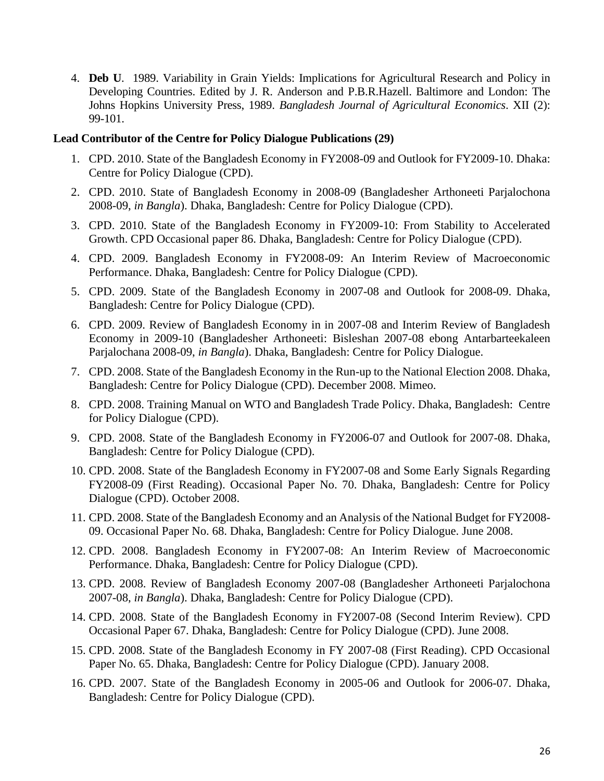4. **Deb U**. 1989. Variability in Grain Yields: Implications for Agricultural Research and Policy in Developing Countries. Edited by J. R. Anderson and P.B.R.Hazell. Baltimore and London: The Johns Hopkins University Press, 1989. *Bangladesh Journal of Agricultural Economics*. XII (2): 99-101.

#### **Lead Contributor of the Centre for Policy Dialogue Publications (29)**

- 1. CPD. 2010. State of the Bangladesh Economy in FY2008-09 and Outlook for FY2009-10. Dhaka: Centre for Policy Dialogue (CPD).
- 2. CPD. 2010. State of Bangladesh Economy in 2008-09 (Bangladesher Arthoneeti Parjalochona 2008-09, *in Bangla*). Dhaka, Bangladesh: Centre for Policy Dialogue (CPD).
- 3. CPD. 2010. State of the Bangladesh Economy in FY2009-10: From Stability to Accelerated Growth. CPD Occasional paper 86. Dhaka, Bangladesh: Centre for Policy Dialogue (CPD).
- 4. CPD. 2009. Bangladesh Economy in FY2008-09: An Interim Review of Macroeconomic Performance. Dhaka, Bangladesh: Centre for Policy Dialogue (CPD).
- 5. CPD. 2009. State of the Bangladesh Economy in 2007-08 and Outlook for 2008-09. Dhaka, Bangladesh: Centre for Policy Dialogue (CPD).
- 6. CPD. 2009. Review of Bangladesh Economy in in 2007-08 and Interim Review of Bangladesh Economy in 2009-10 (Bangladesher Arthoneeti: Bisleshan 2007-08 ebong Antarbarteekaleen Parjalochana 2008-09, *in Bangla*). Dhaka, Bangladesh: Centre for Policy Dialogue.
- 7. CPD. 2008. State of the Bangladesh Economy in the Run-up to the National Election 2008. Dhaka, Bangladesh: Centre for Policy Dialogue (CPD). December 2008. Mimeo.
- 8. CPD. 2008. Training Manual on WTO and Bangladesh Trade Policy. Dhaka, Bangladesh: Centre for Policy Dialogue (CPD).
- 9. CPD. 2008. State of the Bangladesh Economy in FY2006-07 and Outlook for 2007-08. Dhaka, Bangladesh: Centre for Policy Dialogue (CPD).
- 10. CPD. 2008. State of the Bangladesh Economy in FY2007-08 and Some Early Signals Regarding FY2008-09 (First Reading). Occasional Paper No. 70. Dhaka, Bangladesh: Centre for Policy Dialogue (CPD). October 2008.
- 11. CPD. 2008. State of the Bangladesh Economy and an Analysis of the National Budget for FY2008- 09. Occasional Paper No. 68. Dhaka, Bangladesh: Centre for Policy Dialogue. June 2008.
- 12. CPD. 2008. Bangladesh Economy in FY2007-08: An Interim Review of Macroeconomic Performance. Dhaka, Bangladesh: Centre for Policy Dialogue (CPD).
- 13. CPD. 2008. Review of Bangladesh Economy 2007-08 (Bangladesher Arthoneeti Parjalochona 2007-08, *in Bangla*). Dhaka, Bangladesh: Centre for Policy Dialogue (CPD).
- 14. CPD. 2008. State of the Bangladesh Economy in FY2007-08 (Second Interim Review). CPD Occasional Paper 67. Dhaka, Bangladesh: Centre for Policy Dialogue (CPD). June 2008.
- 15. CPD. 2008. State of the Bangladesh Economy in FY 2007-08 (First Reading). CPD Occasional Paper No. 65. Dhaka, Bangladesh: Centre for Policy Dialogue (CPD). January 2008.
- 16. CPD. 2007. State of the Bangladesh Economy in 2005-06 and Outlook for 2006-07. Dhaka, Bangladesh: Centre for Policy Dialogue (CPD).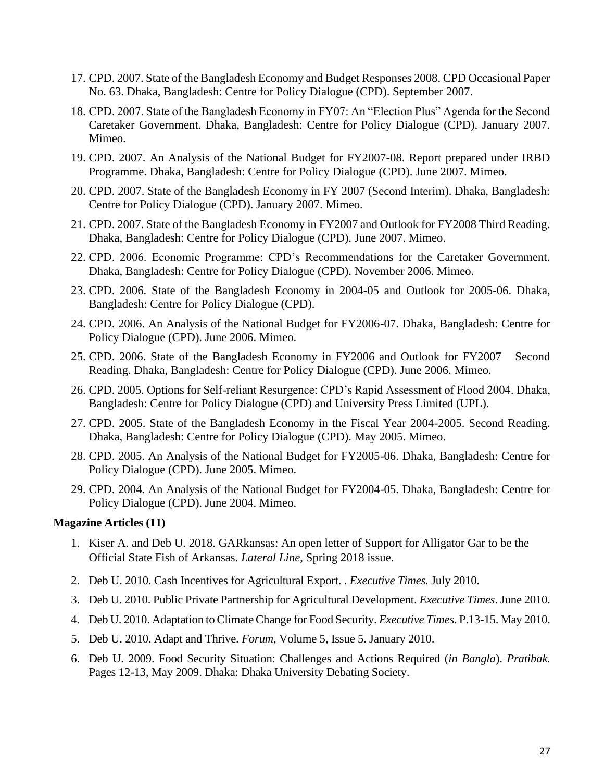- 17. CPD. 2007. State of the Bangladesh Economy and Budget Responses 2008. CPD Occasional Paper No. 63. Dhaka, Bangladesh: Centre for Policy Dialogue (CPD). September 2007.
- 18. CPD. 2007. State of the Bangladesh Economy in FY07: An "Election Plus" Agenda for the Second Caretaker Government. Dhaka, Bangladesh: Centre for Policy Dialogue (CPD). January 2007. Mimeo.
- 19. CPD. 2007. An Analysis of the National Budget for FY2007-08. Report prepared under IRBD Programme. Dhaka, Bangladesh: Centre for Policy Dialogue (CPD). June 2007. Mimeo.
- 20. CPD. 2007. State of the Bangladesh Economy in FY 2007 (Second Interim). Dhaka, Bangladesh: Centre for Policy Dialogue (CPD). January 2007. Mimeo.
- 21. CPD. 2007. State of the Bangladesh Economy in FY2007 and Outlook for FY2008 Third Reading. Dhaka, Bangladesh: Centre for Policy Dialogue (CPD). June 2007. Mimeo.
- 22. CPD. 2006. Economic Programme: CPD's Recommendations for the Caretaker Government. Dhaka, Bangladesh: Centre for Policy Dialogue (CPD). November 2006. Mimeo.
- 23. CPD. 2006. State of the Bangladesh Economy in 2004-05 and Outlook for 2005-06. Dhaka, Bangladesh: Centre for Policy Dialogue (CPD).
- 24. CPD. 2006. An Analysis of the National Budget for FY2006-07. Dhaka, Bangladesh: Centre for Policy Dialogue (CPD). June 2006. Mimeo.
- 25. CPD. 2006. State of the Bangladesh Economy in FY2006 and Outlook for FY2007 Second Reading. Dhaka, Bangladesh: Centre for Policy Dialogue (CPD). June 2006. Mimeo.
- 26. CPD. 2005. Options for Self-reliant Resurgence: CPD's Rapid Assessment of Flood 2004. Dhaka, Bangladesh: Centre for Policy Dialogue (CPD) and University Press Limited (UPL).
- 27. CPD. 2005. State of the Bangladesh Economy in the Fiscal Year 2004-2005. Second Reading. Dhaka, Bangladesh: Centre for Policy Dialogue (CPD). May 2005. Mimeo.
- 28. CPD. 2005. An Analysis of the National Budget for FY2005-06. Dhaka, Bangladesh: Centre for Policy Dialogue (CPD). June 2005. Mimeo.
- 29. CPD. 2004. An Analysis of the National Budget for FY2004-05. Dhaka, Bangladesh: Centre for Policy Dialogue (CPD). June 2004. Mimeo.

#### **Magazine Articles (11)**

- 1. Kiser A. and Deb U. 2018. GARkansas: An open letter of Support for Alligator Gar to be the Official State Fish of Arkansas. *Lateral Line*, Spring 2018 issue.
- 2. Deb U. 2010. Cash Incentives for Agricultural Export. . *Executive Times*. July 2010.
- 3. Deb U. 2010. Public Private Partnership for Agricultural Development. *Executive Times*. June 2010.
- 4. Deb U. 2010. Adaptation to Climate Change for Food Security. *Executive Times*. P.13-15. May 2010.
- 5. Deb U. 2010. Adapt and Thrive. *Forum,* Volume 5, Issue 5. January 2010.
- 6. Deb U. 2009. Food Security Situation: Challenges and Actions Required (*in Bangla*). *Pratibak.* Pages 12-13, May 2009. Dhaka: Dhaka University Debating Society.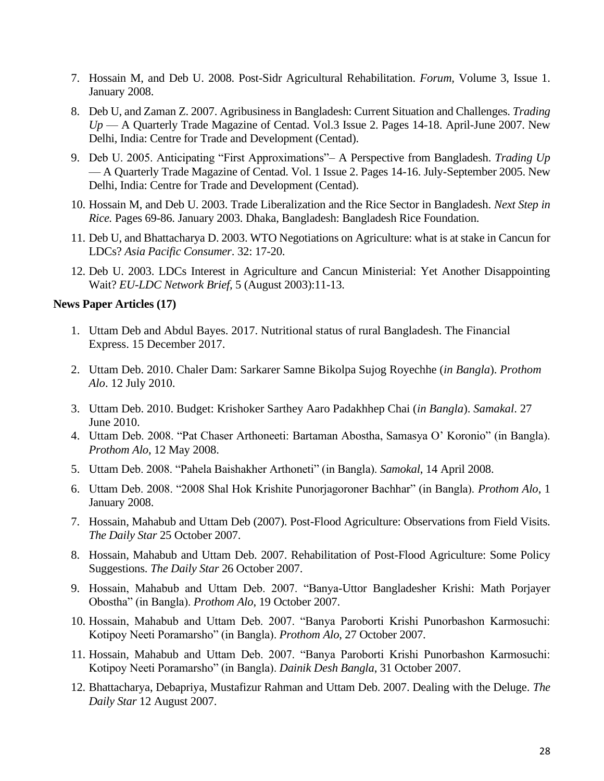- 7. Hossain M, and Deb U. 2008. Post-Sidr Agricultural Rehabilitation. *Forum,* Volume 3, Issue 1. January 2008.
- 8. Deb U, and Zaman Z. 2007. Agribusiness in Bangladesh: Current Situation and Challenges. *Trading Up* — A Quarterly Trade Magazine of Centad. Vol.3 Issue 2. Pages 14-18. April-June 2007. New Delhi, India: Centre for Trade and Development (Centad).
- 9. Deb U. 2005. Anticipating "First Approximations"– A Perspective from Bangladesh. *Trading Up*  — A Quarterly Trade Magazine of Centad. Vol. 1 Issue 2. Pages 14-16. July-September 2005. New Delhi, India: Centre for Trade and Development (Centad).
- 10. Hossain M, and Deb U. 2003. Trade Liberalization and the Rice Sector in Bangladesh. *Next Step in Rice.* Pages 69-86. January 2003. Dhaka, Bangladesh: Bangladesh Rice Foundation.
- 11. Deb U, and Bhattacharya D. 2003. WTO Negotiations on Agriculture: what is at stake in Cancun for LDCs? *Asia Pacific Consumer*. 32: 17-20.
- 12. Deb U. 2003. LDCs Interest in Agriculture and Cancun Ministerial: Yet Another Disappointing Wait? *EU-LDC Network Brief,* 5 (August 2003):11-13.

#### **News Paper Articles (17)**

- 1. Uttam Deb and Abdul Bayes. 2017. Nutritional status of rural Bangladesh. The Financial Express. 15 December 2017.
- 2. Uttam Deb. 2010. Chaler Dam: Sarkarer Samne Bikolpa Sujog Royechhe (*in Bangla*). *Prothom Alo*. 12 July 2010.
- 3. Uttam Deb. 2010. Budget: Krishoker Sarthey Aaro Padakhhep Chai (*in Bangla*). *Samakal*. 27 June 2010.
- 4. Uttam Deb. 2008. "Pat Chaser Arthoneeti: Bartaman Abostha, Samasya O' Koronio" (in Bangla). *Prothom Alo*, 12 May 2008.
- 5. Uttam Deb. 2008. "Pahela Baishakher Arthoneti" (in Bangla). *Samokal*, 14 April 2008.
- 6. Uttam Deb. 2008. "2008 Shal Hok Krishite Punorjagoroner Bachhar" (in Bangla). *Prothom Alo*, 1 January 2008.
- 7. Hossain, Mahabub and Uttam Deb (2007). Post-Flood Agriculture: Observations from Field Visits. *The Daily Star* 25 October 2007.
- 8. Hossain, Mahabub and Uttam Deb. 2007. Rehabilitation of Post-Flood Agriculture: Some Policy Suggestions. *The Daily Star* 26 October 2007.
- 9. Hossain, Mahabub and Uttam Deb. 2007. "Banya-Uttor Bangladesher Krishi: Math Porjayer Obostha" (in Bangla). *Prothom Alo*, 19 October 2007.
- 10. Hossain, Mahabub and Uttam Deb. 2007. "Banya Paroborti Krishi Punorbashon Karmosuchi: Kotipoy Neeti Poramarsho" (in Bangla). *Prothom Alo*, 27 October 2007.
- 11. Hossain, Mahabub and Uttam Deb. 2007. "Banya Paroborti Krishi Punorbashon Karmosuchi: Kotipoy Neeti Poramarsho" (in Bangla). *Dainik Desh Bangla*, 31 October 2007.
- 12. Bhattacharya, Debapriya, Mustafizur Rahman and Uttam Deb. 2007. Dealing with the Deluge. *The Daily Star* 12 August 2007.